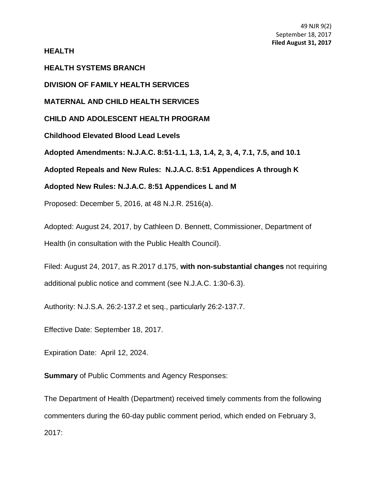**HEALTH**

**HEALTH SYSTEMS BRANCH**

**DIVISION OF FAMILY HEALTH SERVICES**

**MATERNAL AND CHILD HEALTH SERVICES**

**CHILD AND ADOLESCENT HEALTH PROGRAM**

**Childhood Elevated Blood Lead Levels**

**Adopted Amendments: N.J.A.C. 8:51-1.1, 1.3, 1.4, 2, 3, 4, 7.1, 7.5, and 10.1**

**Adopted Repeals and New Rules: N.J.A.C. 8:51 Appendices A through K**

**Adopted New Rules: N.J.A.C. 8:51 Appendices L and M**

Proposed: December 5, 2016, at 48 N.J.R. 2516(a).

Adopted: August 24, 2017, by Cathleen D. Bennett, Commissioner, Department of Health (in consultation with the Public Health Council).

Filed: August 24, 2017, as R.2017 d.175, **with non-substantial changes** not requiring additional public notice and comment (see N.J.A.C. 1:30-6.3).

Authority: [N.J.S.A. 26:2-13](https://web.lexisnexis.com/research/buttonTFLink?_m=7f839a864e627bdeb65131183d99d57b&_xfercite=%3ccite%20cc%3d%22USA%22%3e%3c%21%5bCDATA%5b47%20N.J.R.%202063%28a%29%5d%5d%3e%3c%2fcite%3e&_butType=4&_butStat=0&_butNum=6&_butInline=1&_butinfo=NJCODE%2026%3a2H-1&_fmtstr=FULL&docnum=2&_startdoc=1&wchp=dGLbVzt-zSkAA&_md5=e719b5d7b084245c401e2da980a12163)7.2 et seq., particularly 26:2-137.7.

Effective Date: September 18, 2017.

Expiration Date: April 12, 2024.

**Summary** of Public Comments and Agency Responses:

The Department of Health (Department) received timely comments from the following commenters during the 60-day public comment period, which ended on February 3, 2017: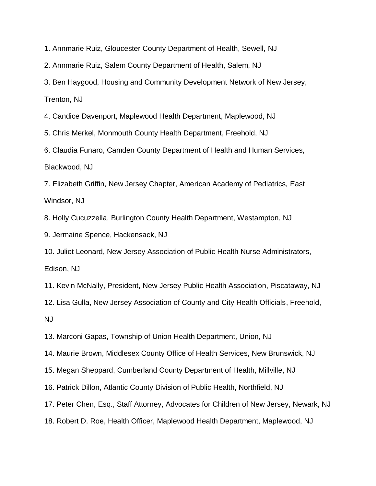1. Annmarie Ruiz, Gloucester County Department of Health, Sewell, NJ

2. Annmarie Ruiz, Salem County Department of Health, Salem, NJ

3. Ben Haygood, Housing and Community Development Network of New Jersey,

Trenton, NJ

4. Candice Davenport, Maplewood Health Department, Maplewood, NJ

5. Chris Merkel, Monmouth County Health Department, Freehold, NJ

6. Claudia Funaro, Camden County Department of Health and Human Services, Blackwood, NJ

7. Elizabeth Griffin, New Jersey Chapter, American Academy of Pediatrics, East Windsor, NJ

8. Holly Cucuzzella, Burlington County Health Department, Westampton, NJ

9. Jermaine Spence, Hackensack, NJ

10. Juliet Leonard, New Jersey Association of Public Health Nurse Administrators, Edison, NJ

11. Kevin McNally, President, New Jersey Public Health Association, Piscataway, NJ

12. Lisa Gulla, New Jersey Association of County and City Health Officials, Freehold, NJ

13. Marconi Gapas, Township of Union Health Department, Union, NJ

14. Maurie Brown, Middlesex County Office of Health Services, New Brunswick, NJ

15. Megan Sheppard, Cumberland County Department of Health, Millville, NJ

16. Patrick Dillon, Atlantic County Division of Public Health, Northfield, NJ

17. Peter Chen, Esq., Staff Attorney, Advocates for Children of New Jersey, Newark, NJ

18. Robert D. Roe, Health Officer, Maplewood Health Department, Maplewood, NJ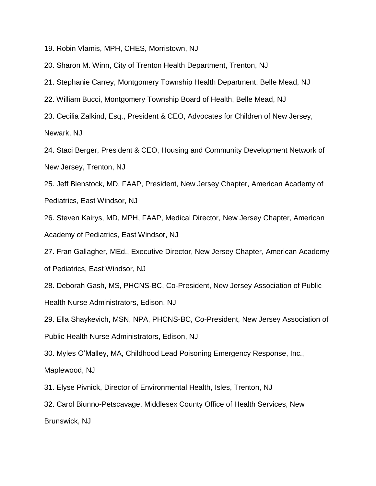19. Robin Vlamis, MPH, CHES, Morristown, NJ

20. Sharon M. Winn, City of Trenton Health Department, Trenton, NJ

21. Stephanie Carrey, Montgomery Township Health Department, Belle Mead, NJ

22. William Bucci, Montgomery Township Board of Health, Belle Mead, NJ

23. Cecilia Zalkind, Esq., President & CEO, Advocates for Children of New Jersey, Newark, NJ

24. Staci Berger, President & CEO, Housing and Community Development Network of New Jersey, Trenton, NJ

25. Jeff Bienstock, MD, FAAP, President, New Jersey Chapter, American Academy of Pediatrics, East Windsor, NJ

26. Steven Kairys, MD, MPH, FAAP, Medical Director, New Jersey Chapter, American Academy of Pediatrics, East Windsor, NJ

27. Fran Gallagher, MEd., Executive Director, New Jersey Chapter, American Academy of Pediatrics, East Windsor, NJ

28. Deborah Gash, MS, PHCNS-BC, Co-President, New Jersey Association of Public Health Nurse Administrators, Edison, NJ

29. Ella Shaykevich, MSN, NPA, PHCNS-BC, Co-President, New Jersey Association of Public Health Nurse Administrators, Edison, NJ

30. Myles O'Malley, MA, Childhood Lead Poisoning Emergency Response, Inc., Maplewood, NJ

31. Elyse Pivnick, Director of Environmental Health, Isles, Trenton, NJ

32. Carol Biunno-Petscavage, Middlesex County Office of Health Services, New

Brunswick, NJ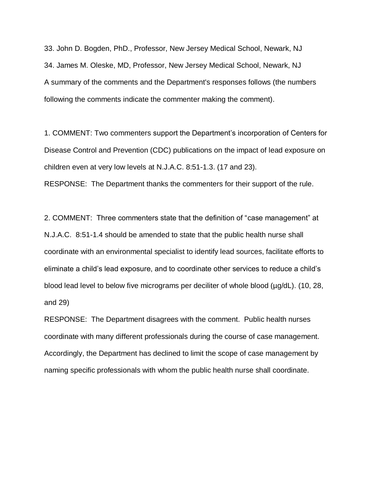33. John D. Bogden, PhD., Professor, New Jersey Medical School, Newark, NJ 34. James M. Oleske, MD, Professor, New Jersey Medical School, Newark, NJ A summary of the comments and the Department's responses follows (the numbers following the comments indicate the commenter making the comment).

1. COMMENT: Two commenters support the Department's incorporation of Centers for Disease Control and Prevention (CDC) publications on the impact of lead exposure on children even at very low levels at N.J.A.C. 8:51-1.3. (17 and 23).

RESPONSE: The Department thanks the commenters for their support of the rule.

2. COMMENT: Three commenters state that the definition of "case management" at N.J.A.C. 8:51-1.4 should be amended to state that the public health nurse shall coordinate with an environmental specialist to identify lead sources, facilitate efforts to eliminate a child's lead exposure, and to coordinate other services to reduce a child's blood lead level to below five micrograms per deciliter of whole blood ( $\mu$ g/dL). (10, 28, and 29)

RESPONSE: The Department disagrees with the comment. Public health nurses coordinate with many different professionals during the course of case management. Accordingly, the Department has declined to limit the scope of case management by naming specific professionals with whom the public health nurse shall coordinate.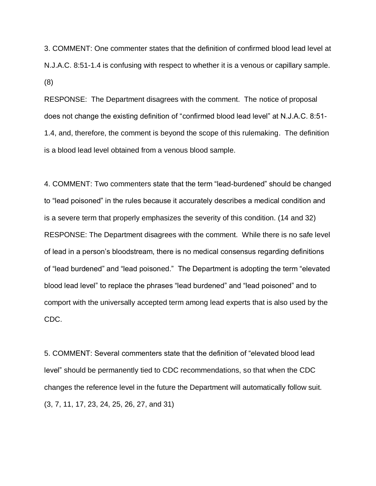3. COMMENT: One commenter states that the definition of confirmed blood lead level at N.J.A.C. 8:51-1.4 is confusing with respect to whether it is a venous or capillary sample. (8)

RESPONSE: The Department disagrees with the comment. The notice of proposal does not change the existing definition of "confirmed blood lead level" at N.J.A.C. 8:51- 1.4, and, therefore, the comment is beyond the scope of this rulemaking. The definition is a blood lead level obtained from a venous blood sample.

4. COMMENT: Two commenters state that the term "lead-burdened" should be changed to "lead poisoned" in the rules because it accurately describes a medical condition and is a severe term that properly emphasizes the severity of this condition. (14 and 32) RESPONSE: The Department disagrees with the comment. While there is no safe level of lead in a person's bloodstream, there is no medical consensus regarding definitions of "lead burdened" and "lead poisoned." The Department is adopting the term "elevated blood lead level" to replace the phrases "lead burdened" and "lead poisoned" and to comport with the universally accepted term among lead experts that is also used by the CDC.

5. COMMENT: Several commenters state that the definition of "elevated blood lead level" should be permanently tied to CDC recommendations, so that when the CDC changes the reference level in the future the Department will automatically follow suit. (3, 7, 11, 17, 23, 24, 25, 26, 27, and 31)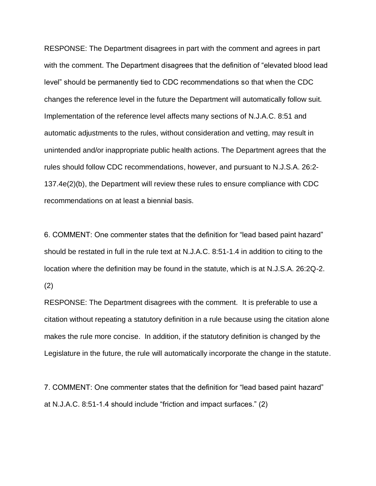RESPONSE: The Department disagrees in part with the comment and agrees in part with the comment. The Department disagrees that the definition of "elevated blood lead level" should be permanently tied to CDC recommendations so that when the CDC changes the reference level in the future the Department will automatically follow suit. Implementation of the reference level affects many sections of N.J.A.C. 8:51 and automatic adjustments to the rules, without consideration and vetting, may result in unintended and/or inappropriate public health actions. The Department agrees that the rules should follow CDC recommendations, however, and pursuant to N.J.S.A. 26:2- 137.4e(2)(b), the Department will review these rules to ensure compliance with CDC recommendations on at least a biennial basis.

6. COMMENT: One commenter states that the definition for "lead based paint hazard" should be restated in full in the rule text at N.J.A.C. 8:51-1.4 in addition to citing to the location where the definition may be found in the statute, which is at N.J.S.A. 26:2Q-2. (2)

RESPONSE: The Department disagrees with the comment. It is preferable to use a citation without repeating a statutory definition in a rule because using the citation alone makes the rule more concise. In addition, if the statutory definition is changed by the Legislature in the future, the rule will automatically incorporate the change in the statute.

7. COMMENT: One commenter states that the definition for "lead based paint hazard" at N.J.A.C. 8:51-1.4 should include "friction and impact surfaces." (2)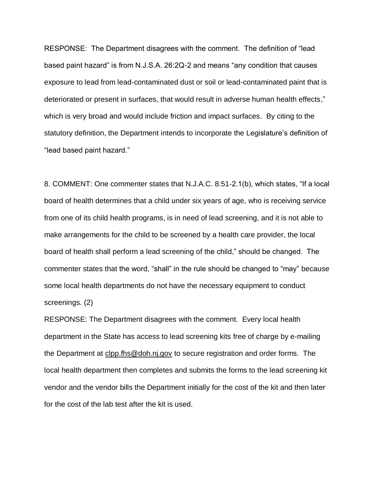RESPONSE: The Department disagrees with the comment. The definition of "lead based paint hazard" is from N.J.S.A. 26:2Q-2 and means "any condition that causes exposure to lead from lead-contaminated dust or soil or lead-contaminated paint that is deteriorated or present in surfaces, that would result in adverse human health effects," which is very broad and would include friction and impact surfaces. By citing to the statutory definition, the Department intends to incorporate the Legislature's definition of "lead based paint hazard."

8. COMMENT: One commenter states that N.J.A.C. 8:51-2.1(b), which states, "If a local board of health determines that a child under six years of age, who is receiving service from one of its child health programs, is in need of lead screening, and it is not able to make arrangements for the child to be screened by a health care provider, the local board of health shall perform a lead screening of the child," should be changed. The commenter states that the word, "shall" in the rule should be changed to "may" because some local health departments do not have the necessary equipment to conduct screenings. (2)

RESPONSE: The Department disagrees with the comment. Every local health department in the State has access to lead screening kits free of charge by e-mailing the Department at [clpp.fhs@doh.nj.gov](mailto:clpp.fhs@doh.nj.gov) to secure registration and order forms. The local health department then completes and submits the forms to the lead screening kit vendor and the vendor bills the Department initially for the cost of the kit and then later for the cost of the lab test after the kit is used.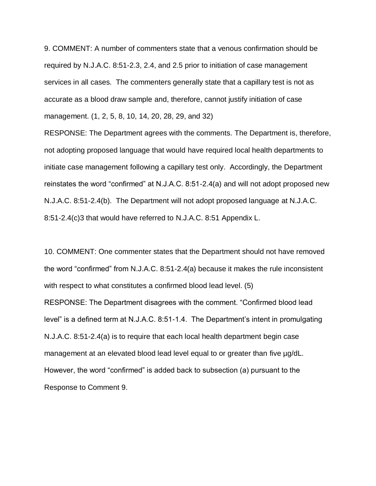9. COMMENT: A number of commenters state that a venous confirmation should be required by N.J.A.C. 8:51-2.3, 2.4, and 2.5 prior to initiation of case management services in all cases. The commenters generally state that a capillary test is not as accurate as a blood draw sample and, therefore, cannot justify initiation of case management. (1, 2, 5, 8, 10, 14, 20, 28, 29, and 32)

RESPONSE: The Department agrees with the comments. The Department is, therefore, not adopting proposed language that would have required local health departments to initiate case management following a capillary test only. Accordingly, the Department reinstates the word "confirmed" at N.J.A.C. 8:51-2.4(a) and will not adopt proposed new N.J.A.C. 8:51-2.4(b). The Department will not adopt proposed language at N.J.A.C. 8:51-2.4(c)3 that would have referred to N.J.A.C. 8:51 Appendix L.

10. COMMENT: One commenter states that the Department should not have removed the word "confirmed" from N.J.A.C. 8:51-2.4(a) because it makes the rule inconsistent with respect to what constitutes a confirmed blood lead level. (5) RESPONSE: The Department disagrees with the comment. "Confirmed blood lead level" is a defined term at N.J.A.C. 8:51-1.4. The Department's intent in promulgating N.J.A.C. 8:51-2.4(a) is to require that each local health department begin case management at an elevated blood lead level equal to or greater than five µg/dL. However, the word "confirmed" is added back to subsection (a) pursuant to the Response to Comment 9.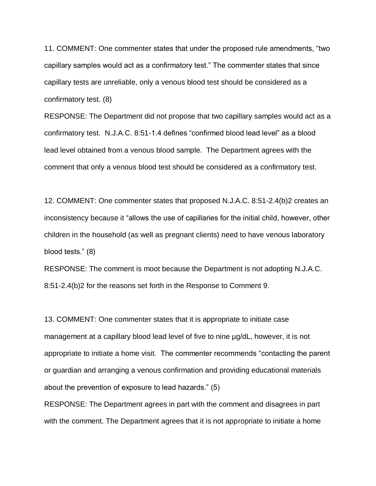11. COMMENT: One commenter states that under the proposed rule amendments, "two capillary samples would act as a confirmatory test." The commenter states that since capillary tests are unreliable, only a venous blood test should be considered as a confirmatory test. (8)

RESPONSE: The Department did not propose that two capillary samples would act as a confirmatory test. N.J.A.C. 8:51-1.4 defines "confirmed blood lead level" as a blood lead level obtained from a venous blood sample. The Department agrees with the comment that only a venous blood test should be considered as a confirmatory test.

12. COMMENT: One commenter states that proposed N.J.A.C. 8:51-2.4(b)2 creates an inconsistency because it "allows the use of capillaries for the initial child, however, other children in the household (as well as pregnant clients) need to have venous laboratory blood tests." (8)

RESPONSE: The comment is moot because the Department is not adopting N.J.A.C. 8:51-2.4(b)2 for the reasons set forth in the Response to Comment 9.

13. COMMENT: One commenter states that it is appropriate to initiate case management at a capillary blood lead level of five to nine µg/dL, however, it is not appropriate to initiate a home visit. The commenter recommends "contacting the parent or guardian and arranging a venous confirmation and providing educational materials about the prevention of exposure to lead hazards." (5)

RESPONSE: The Department agrees in part with the comment and disagrees in part with the comment. The Department agrees that it is not appropriate to initiate a home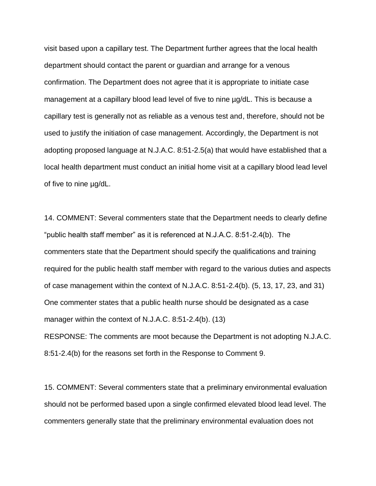visit based upon a capillary test. The Department further agrees that the local health department should contact the parent or guardian and arrange for a venous confirmation. The Department does not agree that it is appropriate to initiate case management at a capillary blood lead level of five to nine µg/dL. This is because a capillary test is generally not as reliable as a venous test and, therefore, should not be used to justify the initiation of case management. Accordingly, the Department is not adopting proposed language at N.J.A.C. 8:51-2.5(a) that would have established that a local health department must conduct an initial home visit at a capillary blood lead level of five to nine µg/dL.

14. COMMENT: Several commenters state that the Department needs to clearly define "public health staff member" as it is referenced at N.J.A.C. 8:51-2.4(b). The commenters state that the Department should specify the qualifications and training required for the public health staff member with regard to the various duties and aspects of case management within the context of N.J.A.C. 8:51-2.4(b). (5, 13, 17, 23, and 31) One commenter states that a public health nurse should be designated as a case manager within the context of N.J.A.C. 8:51-2.4(b). (13)

RESPONSE: The comments are moot because the Department is not adopting N.J.A.C. 8:51-2.4(b) for the reasons set forth in the Response to Comment 9.

15. COMMENT: Several commenters state that a preliminary environmental evaluation should not be performed based upon a single confirmed elevated blood lead level. The commenters generally state that the preliminary environmental evaluation does not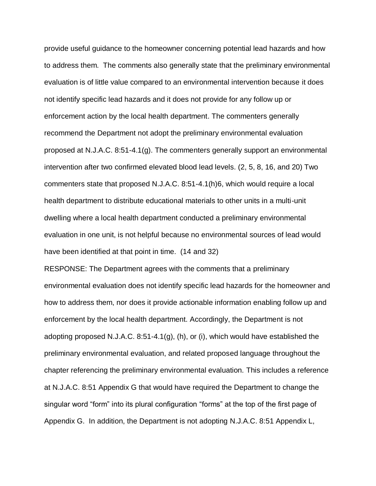provide useful guidance to the homeowner concerning potential lead hazards and how to address them. The comments also generally state that the preliminary environmental evaluation is of little value compared to an environmental intervention because it does not identify specific lead hazards and it does not provide for any follow up or enforcement action by the local health department. The commenters generally recommend the Department not adopt the preliminary environmental evaluation proposed at N.J.A.C. 8:51-4.1(g). The commenters generally support an environmental intervention after two confirmed elevated blood lead levels. (2, 5, 8, 16, and 20) Two commenters state that proposed N.J.A.C. 8:51-4.1(h)6, which would require a local health department to distribute educational materials to other units in a multi-unit dwelling where a local health department conducted a preliminary environmental evaluation in one unit, is not helpful because no environmental sources of lead would have been identified at that point in time. (14 and 32)

RESPONSE: The Department agrees with the comments that a preliminary environmental evaluation does not identify specific lead hazards for the homeowner and how to address them, nor does it provide actionable information enabling follow up and enforcement by the local health department. Accordingly, the Department is not adopting proposed N.J.A.C. 8:51-4.1(g), (h), or (i), which would have established the preliminary environmental evaluation, and related proposed language throughout the chapter referencing the preliminary environmental evaluation. This includes a reference at N.J.A.C. 8:51 Appendix G that would have required the Department to change the singular word "form" into its plural configuration "forms" at the top of the first page of Appendix G. In addition, the Department is not adopting N.J.A.C. 8:51 Appendix L,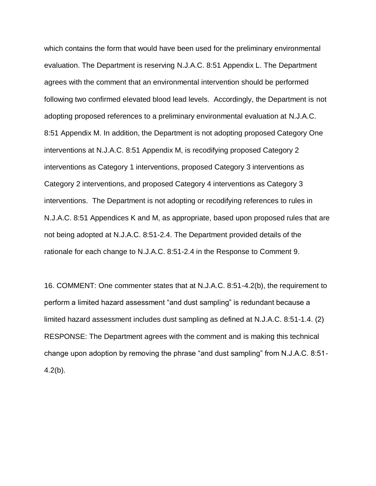which contains the form that would have been used for the preliminary environmental evaluation. The Department is reserving N.J.A.C. 8:51 Appendix L. The Department agrees with the comment that an environmental intervention should be performed following two confirmed elevated blood lead levels. Accordingly, the Department is not adopting proposed references to a preliminary environmental evaluation at N.J.A.C. 8:51 Appendix M. In addition, the Department is not adopting proposed Category One interventions at N.J.A.C. 8:51 Appendix M, is recodifying proposed Category 2 interventions as Category 1 interventions, proposed Category 3 interventions as Category 2 interventions, and proposed Category 4 interventions as Category 3 interventions. The Department is not adopting or recodifying references to rules in N.J.A.C. 8:51 Appendices K and M, as appropriate, based upon proposed rules that are not being adopted at N.J.A.C. 8:51-2.4. The Department provided details of the rationale for each change to N.J.A.C. 8:51-2.4 in the Response to Comment 9.

16. COMMENT: One commenter states that at N.J.A.C. 8:51-4.2(b), the requirement to perform a limited hazard assessment "and dust sampling" is redundant because a limited hazard assessment includes dust sampling as defined at N.J.A.C. 8:51-1.4. (2) RESPONSE: The Department agrees with the comment and is making this technical change upon adoption by removing the phrase "and dust sampling" from N.J.A.C. 8:51- 4.2(b).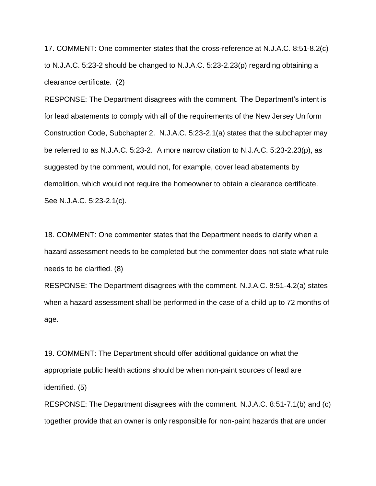17. COMMENT: One commenter states that the cross-reference at N.J.A.C. 8:51-8.2(c) to N.J.A.C. 5:23-2 should be changed to N.J.A.C. 5:23-2.23(p) regarding obtaining a clearance certificate. (2)

RESPONSE: The Department disagrees with the comment. The Department's intent is for lead abatements to comply with all of the requirements of the New Jersey Uniform Construction Code, Subchapter 2. N.J.A.C. 5:23-2.1(a) states that the subchapter may be referred to as N.J.A.C. 5:23-2. A more narrow citation to N.J.A.C. 5:23-2.23(p), as suggested by the comment, would not, for example, cover lead abatements by demolition, which would not require the homeowner to obtain a clearance certificate. See N.J.A.C. 5:23-2.1(c).

18. COMMENT: One commenter states that the Department needs to clarify when a hazard assessment needs to be completed but the commenter does not state what rule needs to be clarified. (8)

RESPONSE: The Department disagrees with the comment. N.J.A.C. 8:51-4.2(a) states when a hazard assessment shall be performed in the case of a child up to 72 months of age.

19. COMMENT: The Department should offer additional guidance on what the appropriate public health actions should be when non-paint sources of lead are identified. (5)

RESPONSE: The Department disagrees with the comment. N.J.A.C. 8:51-7.1(b) and (c) together provide that an owner is only responsible for non-paint hazards that are under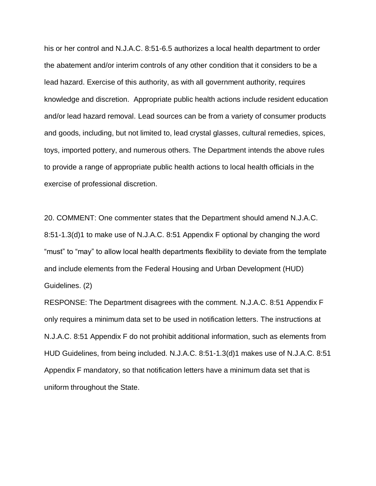his or her control and N.J.A.C. 8:51-6.5 authorizes a local health department to order the abatement and/or interim controls of any other condition that it considers to be a lead hazard. Exercise of this authority, as with all government authority, requires knowledge and discretion. Appropriate public health actions include resident education and/or lead hazard removal. Lead sources can be from a variety of consumer products and goods, including, but not limited to, lead crystal glasses, cultural remedies, spices, toys, imported pottery, and numerous others. The Department intends the above rules to provide a range of appropriate public health actions to local health officials in the exercise of professional discretion.

20. COMMENT: One commenter states that the Department should amend N.J.A.C. 8:51-1.3(d)1 to make use of N.J.A.C. 8:51 Appendix F optional by changing the word "must" to "may" to allow local health departments flexibility to deviate from the template and include elements from the Federal Housing and Urban Development (HUD) Guidelines. (2)

RESPONSE: The Department disagrees with the comment. N.J.A.C. 8:51 Appendix F only requires a minimum data set to be used in notification letters. The instructions at N.J.A.C. 8:51 Appendix F do not prohibit additional information, such as elements from HUD Guidelines, from being included. N.J.A.C. 8:51-1.3(d)1 makes use of N.J.A.C. 8:51 Appendix F mandatory, so that notification letters have a minimum data set that is uniform throughout the State.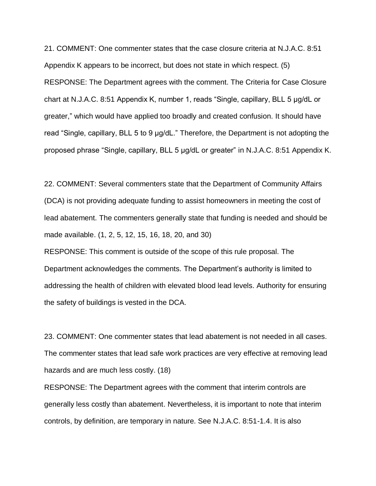21. COMMENT: One commenter states that the case closure criteria at N.J.A.C. 8:51 Appendix K appears to be incorrect, but does not state in which respect. (5) RESPONSE: The Department agrees with the comment. The Criteria for Case Closure chart at N.J.A.C. 8:51 Appendix K, number 1, reads "Single, capillary, BLL 5 µg/dL or greater," which would have applied too broadly and created confusion. It should have read "Single, capillary, BLL 5 to 9 µg/dL." Therefore, the Department is not adopting the proposed phrase "Single, capillary, BLL 5 µg/dL or greater" in N.J.A.C. 8:51 Appendix K.

22. COMMENT: Several commenters state that the Department of Community Affairs (DCA) is not providing adequate funding to assist homeowners in meeting the cost of lead abatement. The commenters generally state that funding is needed and should be made available. (1, 2, 5, 12, 15, 16, 18, 20, and 30)

RESPONSE: This comment is outside of the scope of this rule proposal. The Department acknowledges the comments. The Department's authority is limited to addressing the health of children with elevated blood lead levels. Authority for ensuring the safety of buildings is vested in the DCA.

23. COMMENT: One commenter states that lead abatement is not needed in all cases. The commenter states that lead safe work practices are very effective at removing lead hazards and are much less costly. (18)

RESPONSE: The Department agrees with the comment that interim controls are generally less costly than abatement. Nevertheless, it is important to note that interim controls, by definition, are temporary in nature. See N.J.A.C. 8:51-1.4. It is also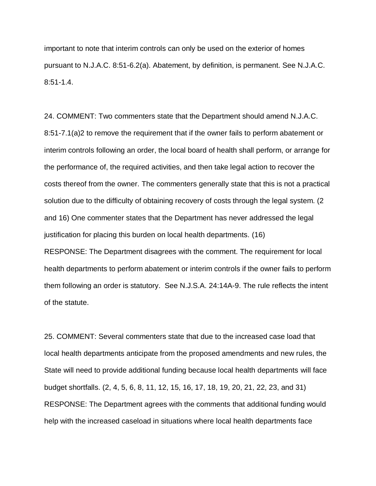important to note that interim controls can only be used on the exterior of homes pursuant to N.J.A.C. 8:51-6.2(a). Abatement, by definition, is permanent. See N.J.A.C. 8:51-1.4.

24. COMMENT: Two commenters state that the Department should amend N.J.A.C. 8:51-7.1(a)2 to remove the requirement that if the owner fails to perform abatement or interim controls following an order, the local board of health shall perform, or arrange for the performance of, the required activities, and then take legal action to recover the costs thereof from the owner. The commenters generally state that this is not a practical solution due to the difficulty of obtaining recovery of costs through the legal system. (2 and 16) One commenter states that the Department has never addressed the legal justification for placing this burden on local health departments. (16) RESPONSE: The Department disagrees with the comment. The requirement for local health departments to perform abatement or interim controls if the owner fails to perform them following an order is statutory. See N.J.S.A. 24:14A-9. The rule reflects the intent of the statute.

25. COMMENT: Several commenters state that due to the increased case load that local health departments anticipate from the proposed amendments and new rules, the State will need to provide additional funding because local health departments will face budget shortfalls. (2, 4, 5, 6, 8, 11, 12, 15, 16, 17, 18, 19, 20, 21, 22, 23, and 31) RESPONSE: The Department agrees with the comments that additional funding would help with the increased caseload in situations where local health departments face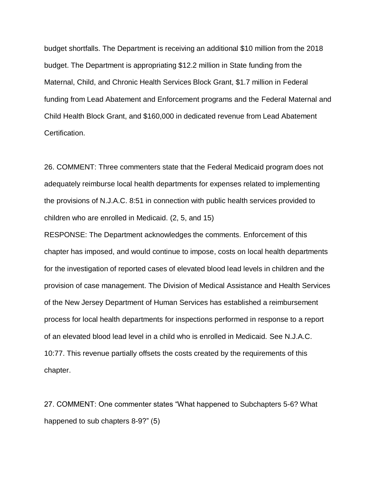budget shortfalls. The Department is receiving an additional \$10 million from the 2018 budget. The Department is appropriating \$12.2 million in State funding from the Maternal, Child, and Chronic Health Services Block Grant, \$1.7 million in Federal funding from Lead Abatement and Enforcement programs and the Federal Maternal and Child Health Block Grant, and \$160,000 in dedicated revenue from Lead Abatement Certification.

26. COMMENT: Three commenters state that the Federal Medicaid program does not adequately reimburse local health departments for expenses related to implementing the provisions of N.J.A.C. 8:51 in connection with public health services provided to children who are enrolled in Medicaid. (2, 5, and 15)

RESPONSE: The Department acknowledges the comments. Enforcement of this chapter has imposed, and would continue to impose, costs on local health departments for the investigation of reported cases of elevated blood lead levels in children and the provision of case management. The Division of Medical Assistance and Health Services of the New Jersey Department of Human Services has established a reimbursement process for local health departments for inspections performed in response to a report of an elevated blood lead level in a child who is enrolled in Medicaid. See N.J.A.C. 10:77. This revenue partially offsets the costs created by the requirements of this chapter.

27. COMMENT: One commenter states "What happened to Subchapters 5-6? What happened to sub chapters 8-9?" (5)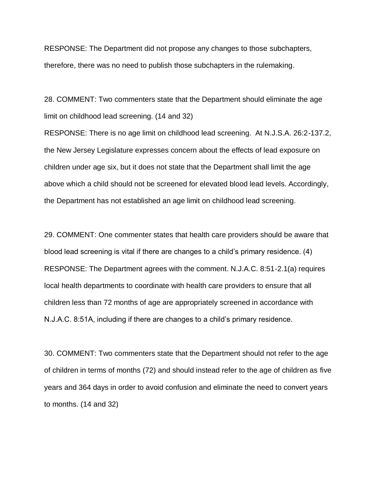RESPONSE: The Department did not propose any changes to those subchapters, therefore, there was no need to publish those subchapters in the rulemaking.

28. COMMENT: Two commenters state that the Department should eliminate the age limit on childhood lead screening. (14 and 32)

RESPONSE: There is no age limit on childhood lead screening. At N.J.S.A. 26:2-137.2, the New Jersey Legislature expresses concern about the effects of lead exposure on children under age six, but it does not state that the Department shall limit the age above which a child should not be screened for elevated blood lead levels. Accordingly, the Department has not established an age limit on childhood lead screening.

29. COMMENT: One commenter states that health care providers should be aware that blood lead screening is vital if there are changes to a child's primary residence. (4) RESPONSE: The Department agrees with the comment. N.J.A.C. 8:51-2.1(a) requires local health departments to coordinate with health care providers to ensure that all children less than 72 months of age are appropriately screened in accordance with N.J.A.C. 8:51A, including if there are changes to a child's primary residence.

30. COMMENT: Two commenters state that the Department should not refer to the age of children in terms of months (72) and should instead refer to the age of children as five years and 364 days in order to avoid confusion and eliminate the need to convert years to months. (14 and 32)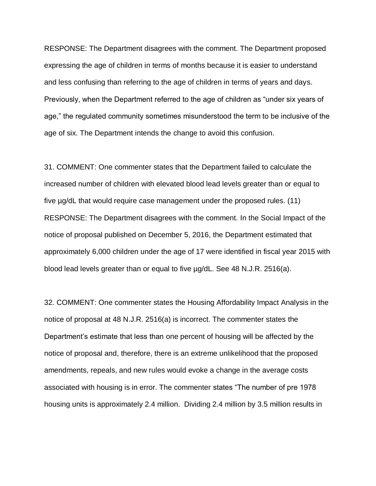RESPONSE: The Department disagrees with the comment. The Department proposed expressing the age of children in terms of months because it is easier to understand and less confusing than referring to the age of children in terms of years and days. Previously, when the Department referred to the age of children as "under six years of age," the regulated community sometimes misunderstood the term to be inclusive of the age of six. The Department intends the change to avoid this confusion.

31. COMMENT: One commenter states that the Department failed to calculate the increased number of children with elevated blood lead levels greater than or equal to five µg/dL that would require case management under the proposed rules. (11) RESPONSE: The Department disagrees with the comment. In the Social Impact of the notice of proposal published on December 5, 2016, the Department estimated that approximately 6,000 children under the age of 17 were identified in fiscal year 2015 with blood lead levels greater than or equal to five µg/dL. See 48 N.J.R. 2516(a).

32. COMMENT: One commenter states the Housing Affordability Impact Analysis in the notice of proposal at 48 N.J.R. 2516(a) is incorrect. The commenter states the Department's estimate that less than one percent of housing will be affected by the notice of proposal and, therefore, there is an extreme unlikelihood that the proposed amendments, repeals, and new rules would evoke a change in the average costs associated with housing is in error. The commenter states "The number of pre 1978 housing units is approximately 2.4 million. Dividing 2.4 million by 3.5 million results in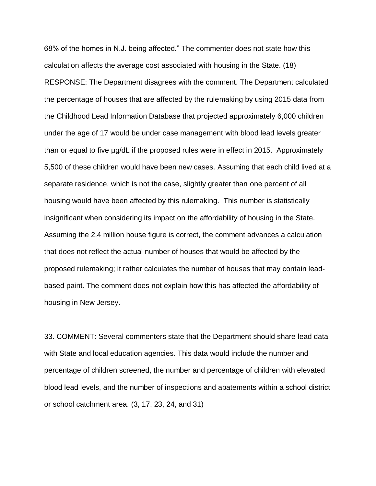68% of the homes in N.J. being affected." The commenter does not state how this calculation affects the average cost associated with housing in the State. (18) RESPONSE: The Department disagrees with the comment. The Department calculated the percentage of houses that are affected by the rulemaking by using 2015 data from the Childhood Lead Information Database that projected approximately 6,000 children under the age of 17 would be under case management with blood lead levels greater than or equal to five µg/dL if the proposed rules were in effect in 2015. Approximately 5,500 of these children would have been new cases. Assuming that each child lived at a separate residence, which is not the case, slightly greater than one percent of all housing would have been affected by this rulemaking. This number is statistically insignificant when considering its impact on the affordability of housing in the State. Assuming the 2.4 million house figure is correct, the comment advances a calculation that does not reflect the actual number of houses that would be affected by the proposed rulemaking; it rather calculates the number of houses that may contain leadbased paint. The comment does not explain how this has affected the affordability of housing in New Jersey.

33. COMMENT: Several commenters state that the Department should share lead data with State and local education agencies. This data would include the number and percentage of children screened, the number and percentage of children with elevated blood lead levels, and the number of inspections and abatements within a school district or school catchment area. (3, 17, 23, 24, and 31)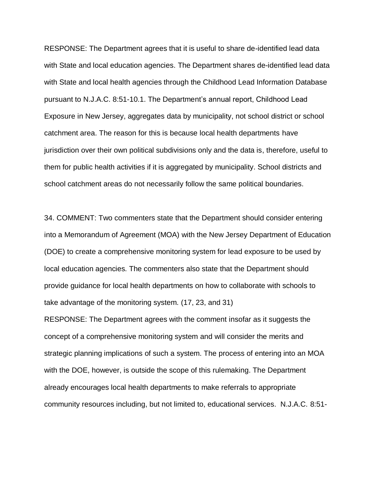RESPONSE: The Department agrees that it is useful to share de-identified lead data with State and local education agencies. The Department shares de-identified lead data with State and local health agencies through the Childhood Lead Information Database pursuant to N.J.A.C. 8:51-10.1. The Department's annual report, Childhood Lead Exposure in New Jersey, aggregates data by municipality, not school district or school catchment area. The reason for this is because local health departments have jurisdiction over their own political subdivisions only and the data is, therefore, useful to them for public health activities if it is aggregated by municipality. School districts and school catchment areas do not necessarily follow the same political boundaries.

34. COMMENT: Two commenters state that the Department should consider entering into a Memorandum of Agreement (MOA) with the New Jersey Department of Education (DOE) to create a comprehensive monitoring system for lead exposure to be used by local education agencies. The commenters also state that the Department should provide guidance for local health departments on how to collaborate with schools to take advantage of the monitoring system. (17, 23, and 31)

RESPONSE: The Department agrees with the comment insofar as it suggests the concept of a comprehensive monitoring system and will consider the merits and strategic planning implications of such a system. The process of entering into an MOA with the DOE, however, is outside the scope of this rulemaking. The Department already encourages local health departments to make referrals to appropriate community resources including, but not limited to, educational services. N.J.A.C. 8:51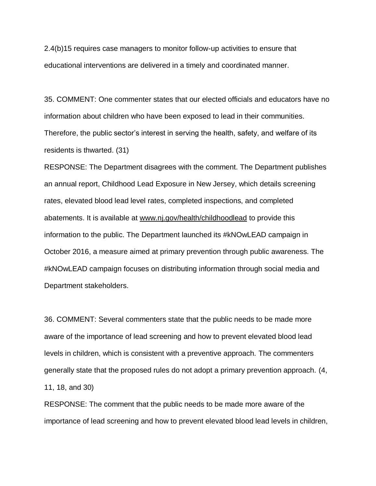2.4(b)15 requires case managers to monitor follow-up activities to ensure that educational interventions are delivered in a timely and coordinated manner.

35. COMMENT: One commenter states that our elected officials and educators have no information about children who have been exposed to lead in their communities. Therefore, the public sector's interest in serving the health, safety, and welfare of its residents is thwarted. (31)

RESPONSE: The Department disagrees with the comment. The Department publishes an annual report, Childhood Lead Exposure in New Jersey, which details screening rates, elevated blood lead level rates, completed inspections, and completed abatements. It is available at www.nj.gov/health/childhoodlead to provide this information to the public. The Department launched its #kNOwLEAD campaign in October 2016, a measure aimed at primary prevention through public awareness. The #kNOwLEAD campaign focuses on distributing information through social media and Department stakeholders.

36. COMMENT: Several commenters state that the public needs to be made more aware of the importance of lead screening and how to prevent elevated blood lead levels in children, which is consistent with a preventive approach. The commenters generally state that the proposed rules do not adopt a primary prevention approach. (4, 11, 18, and 30)

RESPONSE: The comment that the public needs to be made more aware of the importance of lead screening and how to prevent elevated blood lead levels in children,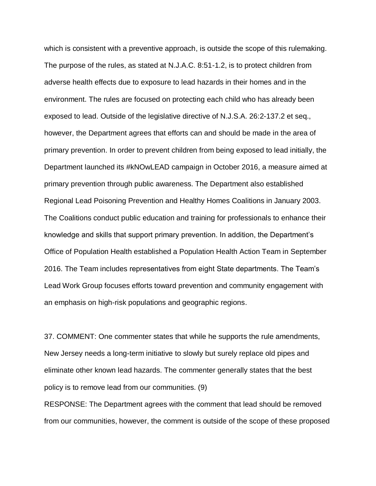which is consistent with a preventive approach, is outside the scope of this rulemaking. The purpose of the rules, as stated at N.J.A.C. 8:51-1.2, is to protect children from adverse health effects due to exposure to lead hazards in their homes and in the environment. The rules are focused on protecting each child who has already been exposed to lead. Outside of the legislative directive of N.J.S.A. 26:2-137.2 et seq., however, the Department agrees that efforts can and should be made in the area of primary prevention. In order to prevent children from being exposed to lead initially, the Department launched its #kNOwLEAD campaign in October 2016, a measure aimed at primary prevention through public awareness. The Department also established Regional Lead Poisoning Prevention and Healthy Homes Coalitions in January 2003. The Coalitions conduct public education and training for professionals to enhance their knowledge and skills that support primary prevention. In addition, the Department's Office of Population Health established a Population Health Action Team in September 2016. The Team includes representatives from eight State departments. The Team's Lead Work Group focuses efforts toward prevention and community engagement with an emphasis on high-risk populations and geographic regions.

37. COMMENT: One commenter states that while he supports the rule amendments, New Jersey needs a long-term initiative to slowly but surely replace old pipes and eliminate other known lead hazards. The commenter generally states that the best policy is to remove lead from our communities. (9)

RESPONSE: The Department agrees with the comment that lead should be removed from our communities, however, the comment is outside of the scope of these proposed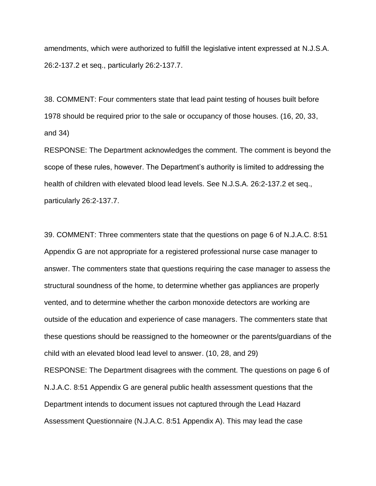amendments, which were authorized to fulfill the legislative intent expressed at [N.J.S.A.](https://web.lexisnexis.com/research/buttonTFLink?_m=7f839a864e627bdeb65131183d99d57b&_xfercite=%3ccite%20cc%3d%22USA%22%3e%3c%21%5bCDATA%5b47%20N.J.R.%202063%28a%29%5d%5d%3e%3c%2fcite%3e&_butType=4&_butStat=0&_butNum=6&_butInline=1&_butinfo=NJCODE%2026%3a2H-1&_fmtstr=FULL&docnum=2&_startdoc=1&wchp=dGLbVzt-zSkAA&_md5=e719b5d7b084245c401e2da980a12163)  [26:2-13](https://web.lexisnexis.com/research/buttonTFLink?_m=7f839a864e627bdeb65131183d99d57b&_xfercite=%3ccite%20cc%3d%22USA%22%3e%3c%21%5bCDATA%5b47%20N.J.R.%202063%28a%29%5d%5d%3e%3c%2fcite%3e&_butType=4&_butStat=0&_butNum=6&_butInline=1&_butinfo=NJCODE%2026%3a2H-1&_fmtstr=FULL&docnum=2&_startdoc=1&wchp=dGLbVzt-zSkAA&_md5=e719b5d7b084245c401e2da980a12163)7.2 et seq., particularly 26:2-137.7.

38. COMMENT: Four commenters state that lead paint testing of houses built before 1978 should be required prior to the sale or occupancy of those houses. (16, 20, 33, and 34)

RESPONSE: The Department acknowledges the comment. The comment is beyond the scope of these rules, however. The Department's authority is limited to addressing the health of children with elevated blood lead levels. See [N.J.S.A. 26:2-13](https://web.lexisnexis.com/research/buttonTFLink?_m=7f839a864e627bdeb65131183d99d57b&_xfercite=%3ccite%20cc%3d%22USA%22%3e%3c%21%5bCDATA%5b47%20N.J.R.%202063%28a%29%5d%5d%3e%3c%2fcite%3e&_butType=4&_butStat=0&_butNum=6&_butInline=1&_butinfo=NJCODE%2026%3a2H-1&_fmtstr=FULL&docnum=2&_startdoc=1&wchp=dGLbVzt-zSkAA&_md5=e719b5d7b084245c401e2da980a12163)7.2 et seq., particularly 26:2-137.7.

39. COMMENT: Three commenters state that the questions on page 6 of N.J.A.C. 8:51 Appendix G are not appropriate for a registered professional nurse case manager to answer. The commenters state that questions requiring the case manager to assess the structural soundness of the home, to determine whether gas appliances are properly vented, and to determine whether the carbon monoxide detectors are working are outside of the education and experience of case managers. The commenters state that these questions should be reassigned to the homeowner or the parents/guardians of the child with an elevated blood lead level to answer. (10, 28, and 29) RESPONSE: The Department disagrees with the comment. The questions on page 6 of N.J.A.C. 8:51 Appendix G are general public health assessment questions that the Department intends to document issues not captured through the Lead Hazard

Assessment Questionnaire (N.J.A.C. 8:51 Appendix A). This may lead the case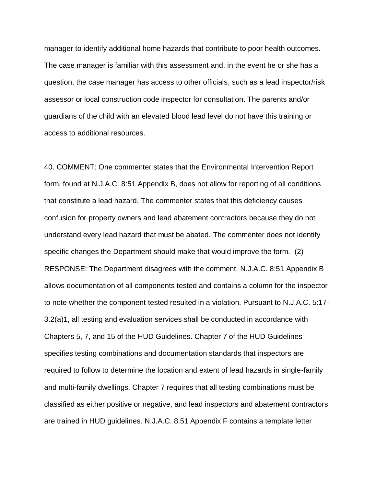manager to identify additional home hazards that contribute to poor health outcomes. The case manager is familiar with this assessment and, in the event he or she has a question, the case manager has access to other officials, such as a lead inspector/risk assessor or local construction code inspector for consultation. The parents and/or guardians of the child with an elevated blood lead level do not have this training or access to additional resources.

40. COMMENT: One commenter states that the Environmental Intervention Report form, found at N.J.A.C. 8:51 Appendix B, does not allow for reporting of all conditions that constitute a lead hazard. The commenter states that this deficiency causes confusion for property owners and lead abatement contractors because they do not understand every lead hazard that must be abated. The commenter does not identify specific changes the Department should make that would improve the form. (2) RESPONSE: The Department disagrees with the comment. N.J.A.C. 8:51 Appendix B allows documentation of all components tested and contains a column for the inspector to note whether the component tested resulted in a violation. Pursuant to N.J.A.C. 5:17- 3.2(a)1, all testing and evaluation services shall be conducted in accordance with Chapters 5, 7, and 15 of the HUD Guidelines. Chapter 7 of the HUD Guidelines specifies testing combinations and documentation standards that inspectors are required to follow to determine the location and extent of lead hazards in single-family and multi-family dwellings. Chapter 7 requires that all testing combinations must be classified as either positive or negative, and lead inspectors and abatement contractors are trained in HUD guidelines. N.J.A.C. 8:51 Appendix F contains a template letter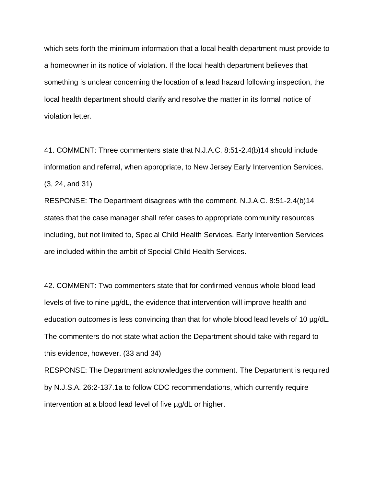which sets forth the minimum information that a local health department must provide to a homeowner in its notice of violation. If the local health department believes that something is unclear concerning the location of a lead hazard following inspection, the local health department should clarify and resolve the matter in its formal notice of violation letter.

41. COMMENT: Three commenters state that N.J.A.C. 8:51-2.4(b)14 should include information and referral, when appropriate, to New Jersey Early Intervention Services. (3, 24, and 31)

RESPONSE: The Department disagrees with the comment. N.J.A.C. 8:51-2.4(b)14 states that the case manager shall refer cases to appropriate community resources including, but not limited to, Special Child Health Services. Early Intervention Services are included within the ambit of Special Child Health Services.

42. COMMENT: Two commenters state that for confirmed venous whole blood lead levels of five to nine µg/dL, the evidence that intervention will improve health and education outcomes is less convincing than that for whole blood lead levels of 10 µg/dL. The commenters do not state what action the Department should take with regard to this evidence, however. (33 and 34)

RESPONSE: The Department acknowledges the comment. The Department is required by N.J.S.A. 26:2-137.1a to follow CDC recommendations, which currently require intervention at a blood lead level of five µg/dL or higher.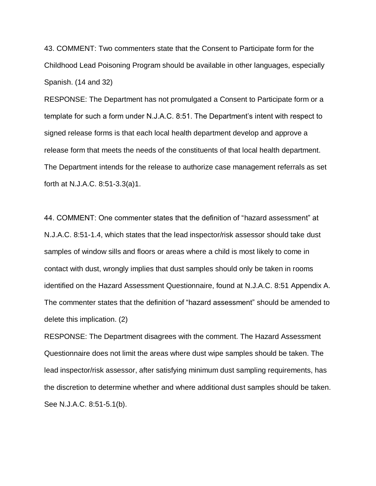43. COMMENT: Two commenters state that the Consent to Participate form for the Childhood Lead Poisoning Program should be available in other languages, especially Spanish. (14 and 32)

RESPONSE: The Department has not promulgated a Consent to Participate form or a template for such a form under N.J.A.C. 8:51. The Department's intent with respect to signed release forms is that each local health department develop and approve a release form that meets the needs of the constituents of that local health department. The Department intends for the release to authorize case management referrals as set forth at N.J.A.C. 8:51-3.3(a)1.

44. COMMENT: One commenter states that the definition of "hazard assessment" at N.J.A.C. 8:51-1.4, which states that the lead inspector/risk assessor should take dust samples of window sills and floors or areas where a child is most likely to come in contact with dust, wrongly implies that dust samples should only be taken in rooms identified on the Hazard Assessment Questionnaire, found at N.J.A.C. 8:51 Appendix A. The commenter states that the definition of "hazard assessment" should be amended to delete this implication. (2)

RESPONSE: The Department disagrees with the comment. The Hazard Assessment Questionnaire does not limit the areas where dust wipe samples should be taken. The lead inspector/risk assessor, after satisfying minimum dust sampling requirements, has the discretion to determine whether and where additional dust samples should be taken. See N.J.A.C. 8:51-5.1(b).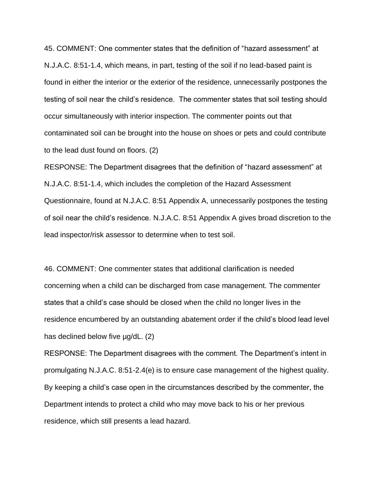45. COMMENT: One commenter states that the definition of "hazard assessment" at N.J.A.C. 8:51-1.4, which means, in part, testing of the soil if no lead-based paint is found in either the interior or the exterior of the residence, unnecessarily postpones the testing of soil near the child's residence. The commenter states that soil testing should occur simultaneously with interior inspection. The commenter points out that contaminated soil can be brought into the house on shoes or pets and could contribute to the lead dust found on floors. (2)

RESPONSE: The Department disagrees that the definition of "hazard assessment" at N.J.A.C. 8:51-1.4, which includes the completion of the Hazard Assessment Questionnaire, found at N.J.A.C. 8:51 Appendix A, unnecessarily postpones the testing of soil near the child's residence. N.J.A.C. 8:51 Appendix A gives broad discretion to the lead inspector/risk assessor to determine when to test soil.

46. COMMENT: One commenter states that additional clarification is needed concerning when a child can be discharged from case management. The commenter states that a child's case should be closed when the child no longer lives in the residence encumbered by an outstanding abatement order if the child's blood lead level has declined below five  $\mu$ g/dL. (2)

RESPONSE: The Department disagrees with the comment. The Department's intent in promulgating N.J.A.C. 8:51-2.4(e) is to ensure case management of the highest quality. By keeping a child's case open in the circumstances described by the commenter, the Department intends to protect a child who may move back to his or her previous residence, which still presents a lead hazard.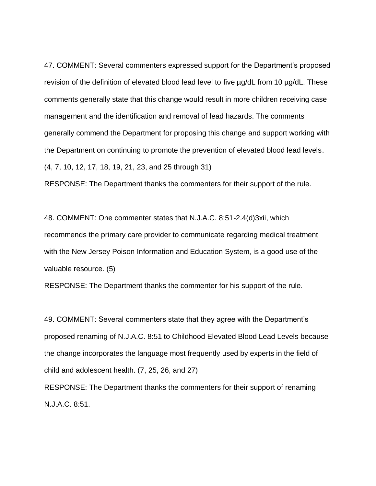47. COMMENT: Several commenters expressed support for the Department's proposed revision of the definition of elevated blood lead level to five µg/dL from 10 µg/dL. These comments generally state that this change would result in more children receiving case management and the identification and removal of lead hazards. The comments generally commend the Department for proposing this change and support working with the Department on continuing to promote the prevention of elevated blood lead levels. (4, 7, 10, 12, 17, 18, 19, 21, 23, and 25 through 31)

RESPONSE: The Department thanks the commenters for their support of the rule.

48. COMMENT: One commenter states that N.J.A.C. 8:51-2.4(d)3xii, which recommends the primary care provider to communicate regarding medical treatment with the New Jersey Poison Information and Education System, is a good use of the valuable resource. (5)

RESPONSE: The Department thanks the commenter for his support of the rule.

49. COMMENT: Several commenters state that they agree with the Department's proposed renaming of N.J.A.C. 8:51 to Childhood Elevated Blood Lead Levels because the change incorporates the language most frequently used by experts in the field of child and adolescent health. (7, 25, 26, and 27)

RESPONSE: The Department thanks the commenters for their support of renaming N.J.A.C. 8:51.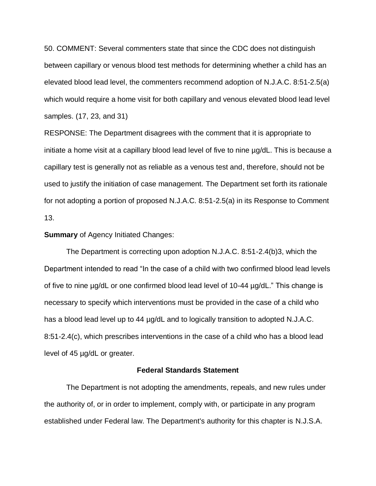50. COMMENT: Several commenters state that since the CDC does not distinguish between capillary or venous blood test methods for determining whether a child has an elevated blood lead level, the commenters recommend adoption of N.J.A.C. 8:51-2.5(a) which would require a home visit for both capillary and venous elevated blood lead level samples. (17, 23, and 31)

RESPONSE: The Department disagrees with the comment that it is appropriate to initiate a home visit at a capillary blood lead level of five to nine µg/dL. This is because a capillary test is generally not as reliable as a venous test and, therefore, should not be used to justify the initiation of case management. The Department set forth its rationale for not adopting a portion of proposed N.J.A.C. 8:51-2.5(a) in its Response to Comment 13.

## **Summary** of Agency Initiated Changes:

The Department is correcting upon adoption N.J.A.C. 8:51-2.4(b)3, which the Department intended to read "In the case of a child with two confirmed blood lead levels of five to nine µg/dL or one confirmed blood lead level of 10-44 µg/dL." This change is necessary to specify which interventions must be provided in the case of a child who has a blood lead level up to 44 µg/dL and to logically transition to adopted N.J.A.C. 8:51-2.4(c), which prescribes interventions in the case of a child who has a blood lead level of 45 µg/dL or greater.

## **Federal Standards Statement**

The Department is not adopting the amendments, repeals, and new rules under the authority of, or in order to implement, comply with, or participate in any program established under Federal law. The Department's authority for this chapter is [N.J.S.A.](http://www.lexis.com/research/buttonTFLink?_m=db3e566ceabbce598e83c6fc7f3e16c8&_xfercite=%3ccite%20cc%3d%22USA%22%3e%3c%21%5bCDATA%5b41%20N.J.R.%204604%28a%29%5d%5d%3e%3c%2fcite%3e&_butType=4&_butStat=0&_butNum=185&_butInline=1&_butinfo=NJCODE%2024%3a14A-1&_fmtstr=FULL&docnum=1&_startdoc=1&wchp=dGLbVzt-zSkAl&_md5=f2b81334e4a1daac6859981286c3bf68)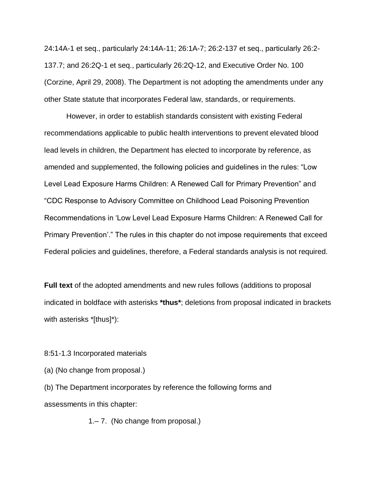[24:14A-1](http://www.lexis.com/research/buttonTFLink?_m=db3e566ceabbce598e83c6fc7f3e16c8&_xfercite=%3ccite%20cc%3d%22USA%22%3e%3c%21%5bCDATA%5b41%20N.J.R.%204604%28a%29%5d%5d%3e%3c%2fcite%3e&_butType=4&_butStat=0&_butNum=185&_butInline=1&_butinfo=NJCODE%2024%3a14A-1&_fmtstr=FULL&docnum=1&_startdoc=1&wchp=dGLbVzt-zSkAl&_md5=f2b81334e4a1daac6859981286c3bf68) et seq., particularly 24:14A-11; 26:1A-7; 26:2-137 et seq., particularly 26:2- 137.7; and 26:2Q-1 et seq., particularly 26:2Q-12, and Executive Order No. 100 (Corzine, April 29, 2008). The Department is not adopting the amendments under any other State statute that incorporates Federal law, standards, or requirements.

However, in order to establish standards consistent with existing Federal recommendations applicable to public health interventions to prevent elevated blood lead levels in children, the Department has elected to incorporate by reference, as amended and supplemented, the following policies and guidelines in the rules: "Low Level Lead Exposure Harms Children: A Renewed Call for Primary Prevention" and "CDC Response to Advisory Committee on Childhood Lead Poisoning Prevention Recommendations in 'Low Level Lead Exposure Harms Children: A Renewed Call for Primary Prevention'." The rules in this chapter do not impose requirements that exceed Federal policies and guidelines, therefore, a Federal standards analysis is not required.

**Full text** of the adopted amendments and new rules follows (additions to proposal indicated in boldface with asterisks **\*thus\***; deletions from proposal indicated in brackets with asterisks \*[thus]\*):

8:51-1.3 Incorporated materials

(a) (No change from proposal.)

(b) The Department incorporates by reference the following forms and assessments in this chapter:

1.– 7. (No change from proposal.)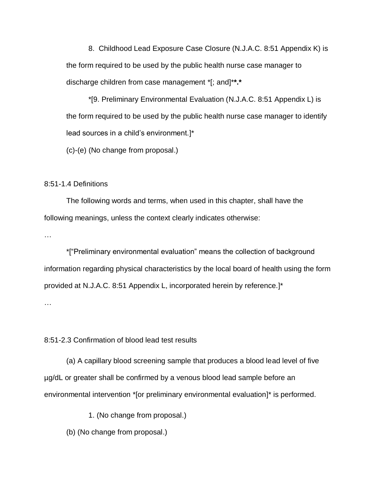8. Childhood Lead Exposure Case Closure (N.J.A.C. 8:51 Appendix K) is the form required to be used by the public health nurse case manager to discharge children from case management \*[; and]\***\*.\***

\*[9. Preliminary Environmental Evaluation [\(N.J.A.C. 8:51](http://www.lexis.com/research/buttonTFLink?_m=2cb79fe4a50f1488ba4bbb2b9aff0a10&_xfercite=%3ccite%20cc%3d%22USA%22%3e%3c%21%5bCDATA%5b42%20N.J.R.%201535%28a%29%5d%5d%3e%3c%2fcite%3e&_butType=4&_butStat=0&_butNum=242&_butInline=1&_butinfo=NJ%20ADMIN%208%3a51&_fmtstr=FULL&docnum=1&_startdoc=1&wchp=dGLbVzt-zSkAl&_md5=26bbcd8e7fbae310836b60739b4ecc26) Appendix L) is the form required to be used by the public health nurse case manager to identify lead sources in a child's environment.]\*

(c)-(e) (No change from proposal.)

## 8:51-1.4 Definitions

The following words and terms, when used in this chapter, shall have the following meanings, unless the context clearly indicates otherwise:

…

\*["Preliminary environmental evaluation" means the collection of background information regarding physical characteristics by the local board of health using the form provided at N.J.A.C. 8:51 Appendix L, incorporated herein by reference.]\* …

8:51-2.3 Confirmation of blood lead test results

(a) A capillary blood screening sample that produces a blood lead level of five µg/dL or greater shall be confirmed by a venous blood lead sample before an environmental intervention \*[or preliminary environmental evaluation]\* is performed.

1. (No change from proposal.)

(b) (No change from proposal.)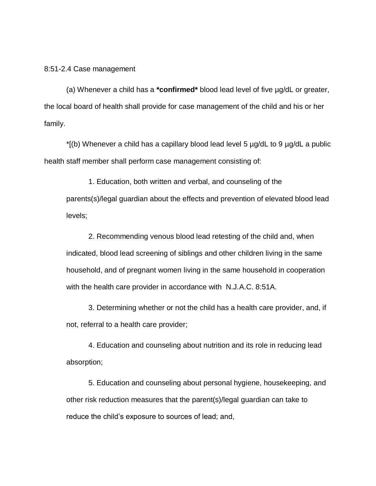## 8:51-2.4 Case management

(a) Whenever a child has a **\*confirmed\*** blood lead level of five µg/dL or greater, the local board of health shall provide for case management of the child and his or her family.

\*[(b) Whenever a child has a capillary blood lead level 5 µg/dL to 9 µg/dL a public health staff member shall perform case management consisting of:

1. Education, both written and verbal, and counseling of the parents(s)/legal guardian about the effects and prevention of elevated blood lead levels;

2. Recommending venous blood lead retesting of the child and, when indicated, blood lead screening of siblings and other children living in the same household, and of pregnant women living in the same household in cooperation with the health care provider in accordance with N.J.A.C. 8:51A.

3. Determining whether or not the child has a health care provider, and, if not, referral to a health care provider;

4. Education and counseling about nutrition and its role in reducing lead absorption;

5. Education and counseling about personal hygiene, housekeeping, and other risk reduction measures that the parent(s)/legal guardian can take to reduce the child's exposure to sources of lead; and,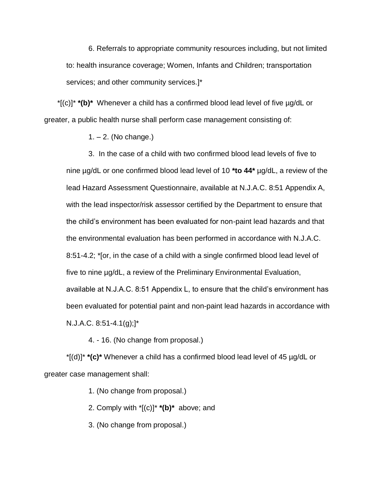6. Referrals to appropriate community resources including, but not limited to: health insurance coverage; Women, Infants and Children; transportation services; and other community services.]\*

\*[(c)]\* **\*(b)\*** Whenever a child has a confirmed blood lead level of five µg/dL or greater, a public health nurse shall perform case management consisting of:

 $1. - 2$ . (No change.)

3. In the case of a child with two confirmed blood lead levels of five to nine µg/dL or one confirmed blood lead level of 10 **\*to 44\*** µg/dL, a review of the lead Hazard Assessment Questionnaire, available at N.J.A.C. 8:51 Appendix A, with the lead inspector/risk assessor certified by the Department to ensure that the child's environment has been evaluated for non-paint lead hazards and that the environmental evaluation has been performed in accordance with N.J.A.C. 8:51-4.2; \*[or, in the case of a child with a single confirmed blood lead level of five to nine µg/dL, a review of the Preliminary Environmental Evaluation, available at N.J.A.C. 8:51 Appendix L, to ensure that the child's environment has been evaluated for potential paint and non-paint lead hazards in accordance with  $N.J.A.C. 8:51-4.1(g);$ <sup>\*</sup>

4. - 16. (No change from proposal.)

\*[(d)]\* **\*(c)\*** Whenever a child has a confirmed blood lead level of 45 µg/dL or greater case management shall:

1. (No change from proposal.)

2. Comply with \*[(c)]\* **\*(b)\*** above; and

3. (No change from proposal.)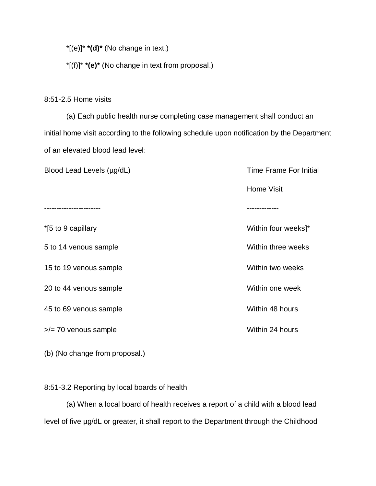\*[(e)]\* **\*(d)\*** (No change in text.)

\*[(f)]\* **\*(e)\*** (No change in text from proposal.)

## 8:51-2.5 Home visits

(a) Each public health nurse completing case management shall conduct an initial home visit according to the following schedule upon notification by the Department of an elevated blood lead level:

Blood Lead Levels (µg/dL) Time Frame For Initial Home Visit ----------------------- ------------- \*[5 to 9 capillary Within four weeks]\* 5 to 14 venous sample Superintendent State Within three weeks 15 to 19 venous sample Within two weeks 20 to 44 venous sample 20 to 44 venous sample 45 to 69 venous sample Within 48 hours >/= 70 venous sample Within 24 hours

(b) (No change from proposal.)

## 8:51-3.2 Reporting by local boards of health

(a) When a local board of health receives a report of a child with a blood lead level of five µg/dL or greater, it shall report to the Department through the Childhood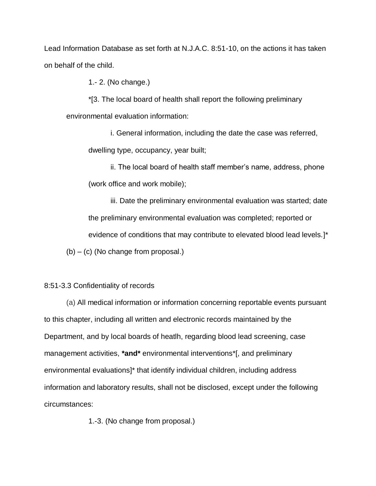Lead Information Database as set forth at N.J.A.C. 8:51-10, on the actions it has taken on behalf of the child.

1.- 2. (No change.)

\*[3. The local board of health shall report the following preliminary environmental evaluation information:

i. General information, including the date the case was referred, dwelling type, occupancy, year built;

ii. The local board of health staff member's name, address, phone (work office and work mobile);

iii. Date the preliminary environmental evaluation was started; date the preliminary environmental evaluation was completed; reported or evidence of conditions that may contribute to elevated blood lead levels.]\*

(b) – (c) (No change from proposal.)

## 8:51-3.3 Confidentiality of records

(a) All medical information or information concerning reportable events pursuant to this chapter, including all written and electronic records maintained by the Department, and by local boards of heatlh, regarding blood lead screening, case management activities, **\*and\*** environmental interventions\*[, and preliminary environmental evaluations]\* that identify individual children, including address information and laboratory results, shall not be disclosed, except under the following circumstances:

1.-3. (No change from proposal.)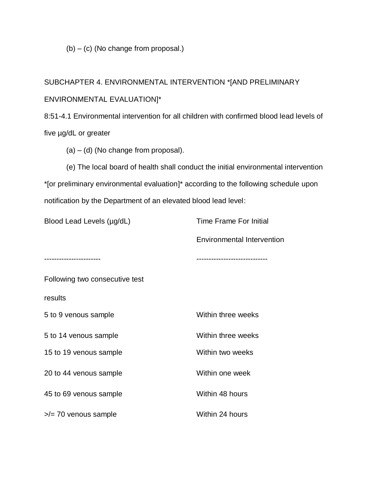(b) – (c) (No change from proposal.)

SUBCHAPTER 4. ENVIRONMENTAL INTERVENTION \*[AND PRELIMINARY ENVIRONMENTAL EVALUATION]\*

8:51-4.1 Environmental intervention for all children with confirmed blood lead levels of five µg/dL or greater

 $(a) - (d)$  (No change from proposal).

(e) The local board of health shall conduct the initial environmental intervention \*[or preliminary environmental evaluation]\* according to the following schedule upon notification by the Department of an elevated blood lead level:

Blood Lead Levels (µg/dL) Time Frame For Initial

Environmental Intervention

----------------------- -----------------------------

Following two consecutive test

results

| 5 to 9 venous sample      | Within three weeks |
|---------------------------|--------------------|
| 5 to 14 venous sample     | Within three weeks |
| 15 to 19 venous sample    | Within two weeks   |
| 20 to 44 venous sample    | Within one week    |
| 45 to 69 venous sample    | Within 48 hours    |
| $\ge$ /= 70 venous sample | Within 24 hours    |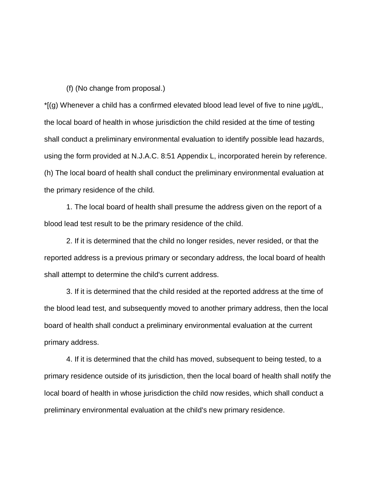## (f) (No change from proposal.)

 $*(g)$  Whenever a child has a confirmed elevated blood lead level of five to nine  $\mu g/dL$ , the local board of health in whose jurisdiction the child resided at the time of testing shall conduct a preliminary environmental evaluation to identify possible lead hazards, using the form provided at N.J.A.C. 8:51 Appendix L, incorporated herein by reference. (h) The local board of health shall conduct the preliminary environmental evaluation at the primary residence of the child.

1. The local board of health shall presume the address given on the report of a blood lead test result to be the primary residence of the child.

2. If it is determined that the child no longer resides, never resided, or that the reported address is a previous primary or secondary address, the local board of health shall attempt to determine the child's current address.

3. If it is determined that the child resided at the reported address at the time of the blood lead test, and subsequently moved to another primary address, then the local board of health shall conduct a preliminary environmental evaluation at the current primary address.

4. If it is determined that the child has moved, subsequent to being tested, to a primary residence outside of its jurisdiction, then the local board of health shall notify the local board of health in whose jurisdiction the child now resides, which shall conduct a preliminary environmental evaluation at the child's new primary residence.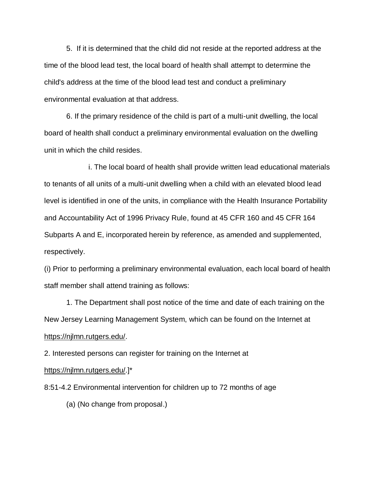5. If it is determined that the child did not reside at the reported address at the time of the blood lead test, the local board of health shall attempt to determine the child's address at the time of the blood lead test and conduct a preliminary environmental evaluation at that address.

6. If the primary residence of the child is part of a multi-unit dwelling, the local board of health shall conduct a preliminary environmental evaluation on the dwelling unit in which the child resides.

i. The local board of health shall provide written lead educational materials to tenants of all units of a multi-unit dwelling when a child with an elevated blood lead level is identified in one of the units, in compliance with the Health Insurance Portability and Accountability Act of 1996 Privacy Rule, found at 45 CFR 160 and 45 CFR 164 Subparts A and E, incorporated herein by reference, as amended and supplemented, respectively.

(i) Prior to performing a preliminary environmental evaluation, each local board of health staff member shall attend training as follows:

1. The Department shall post notice of the time and date of each training on the New Jersey Learning Management System, which can be found on the Internet at [https://njlmn.rutgers.edu/.](https://njlmn.rutgers.edu/)

2. Interested persons can register for training on the Internet at

[https://njlmn.rutgers.edu/.](https://njlmn.rutgers.edu/)]\*

8:51-4.2 Environmental intervention for children up to 72 months of age

(a) (No change from proposal.)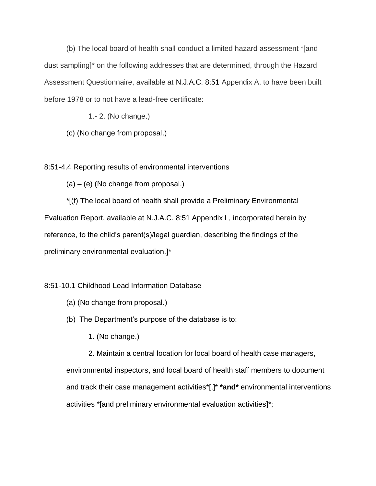(b) The local board of health shall conduct a limited hazard assessment \*[and dust sampling]\* on the following addresses that are determined, through the Hazard Assessment Questionnaire, available at [N.J.A.C. 8:51](http://www.lexis.com/research/buttonTFLink?_m=6c6aaa74d6da38f3b8427cfd678c6e0b&_xfercite=%3ccite%20cc%3d%22USA%22%3e%3c%21%5bCDATA%5bN.J.A.C.%208%3a51-4.2%5d%5d%3e%3c%2fcite%3e&_butType=4&_butStat=0&_butNum=2&_butInline=1&_butinfo=NJ%20ADMIN%208%3a51&_fmtstr=FULL&docnum=2&_startdoc=1&wchp=dGLbVzt-zSkAl&_md5=e2179c3deb8dfab44cf3e4183d406f95) Appendix A, to have been built before 1978 or to not have a lead-free certificate:

1.- 2. (No change.)

(c) (No change from proposal.)

8:51-4.4 Reporting results of environmental interventions

(a) – (e) (No change from proposal.)

\*[(f) The local board of health shall provide a Preliminary Environmental Evaluation Report, available at N.J.A.C. 8:51 Appendix L, incorporated herein by reference, to the child's parent(s)/legal guardian, describing the findings of the preliminary environmental evaluation.]\*

## 8:51-10.1 Childhood Lead Information Database

(a) (No change from proposal.)

(b) The Department's purpose of the database is to:

1. (No change.)

2. Maintain a central location for local board of health case managers,

environmental inspectors, and local board of health staff members to document and track their case management activities\*[,]\* **\*and\*** environmental interventions

activities \*[and preliminary environmental evaluation activities]\*;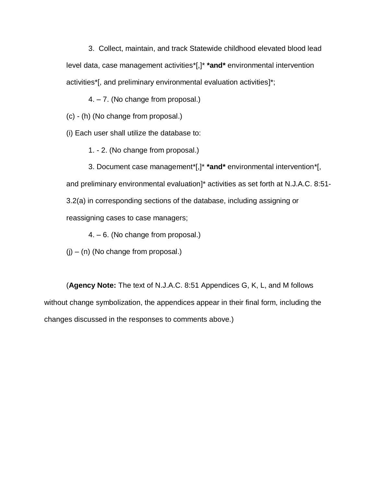3. Collect, maintain, and track Statewide childhood elevated blood lead level data, case management activities\*[,]\* **\*and\*** environmental intervention activities\*[, and preliminary environmental evaluation activities]\*;

4. – 7. (No change from proposal.)

(c) - (h) (No change from proposal.)

(i) Each user shall utilize the database to:

1. - 2. (No change from proposal.)

3. Document case management\*[,]\* **\*and\*** environmental intervention\*[, and preliminary environmental evaluation]\* activities as set forth at N.J.A.C. 8:51- 3.2(a) in corresponding sections of the database, including assigning or reassigning cases to case managers;

4. – 6. (No change from proposal.)

 $(i) - (n)$  (No change from proposal.)

(**Agency Note:** The text of N.J.A.C. 8:51 Appendices G, K, L, and M follows without change symbolization, the appendices appear in their final form, including the changes discussed in the responses to comments above.)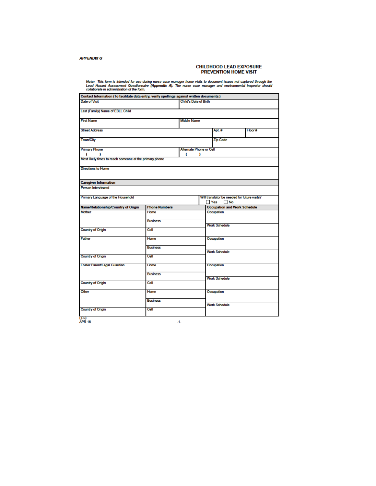### **APPENDIX G**

# **CHILDHOOD LEAD EXPOSURE**<br>PREVENTION HOME VISIT

Note: This form is intended for use during nurse case manager home visits to document issues not captured through the<br>Lead Hazard Assessment Questionnaire (Appendix A). The nurse case manager and environmental inspector sh

| Contact Information (To facilitate data entry, verify spellings against written documents.) |                              |                                |       |                                     |                                              |  |
|---------------------------------------------------------------------------------------------|------------------------------|--------------------------------|-------|-------------------------------------|----------------------------------------------|--|
| <b>Date of Visit</b>                                                                        | <b>Child's Date of Birth</b> |                                |       |                                     |                                              |  |
| Last (Family) Name of EBLL Child                                                            |                              |                                |       |                                     |                                              |  |
| <b>First Name</b>                                                                           |                              | <b>Middle Name</b>             |       |                                     |                                              |  |
| <b>Street Address</b>                                                                       |                              |                                | Apt.# | Floor#                              |                                              |  |
| <b>Town/City</b>                                                                            |                              |                                |       | <b>Zip Code</b>                     |                                              |  |
| <b>Primary Phone</b>                                                                        |                              | <b>Alternate Phone or Cell</b> |       |                                     |                                              |  |
|                                                                                             |                              | C                              | 1     |                                     |                                              |  |
| Most likely times to reach someone at the primary phone                                     |                              |                                |       |                                     |                                              |  |
| <b>Directions to Home</b>                                                                   |                              |                                |       |                                     |                                              |  |
|                                                                                             |                              |                                |       |                                     |                                              |  |
| <b>Caregiver Information</b><br><b>Person Interviewed</b>                                   |                              |                                |       |                                     |                                              |  |
|                                                                                             |                              |                                |       |                                     |                                              |  |
| Primary Language of the Household                                                           |                              |                                |       | $\Box$ Yes<br>$\Box$ No             | Will translator be needed for future visits? |  |
| Name/Relationship/Country of Origin                                                         | <b>Phone Numbers</b>         |                                |       | <b>Occupation and Work Schedule</b> |                                              |  |
| <b>Mother</b>                                                                               | Home                         |                                |       | Occupation                          |                                              |  |
|                                                                                             | <b>Business</b>              |                                |       | <b>Work Schedule</b>                |                                              |  |
| <b>Country of Origin</b>                                                                    | Cell                         |                                |       |                                     |                                              |  |
| <b>Father</b>                                                                               | Home                         |                                |       | Occupation                          |                                              |  |
|                                                                                             | <b>Business</b>              |                                |       | <b>Work Schedule</b>                |                                              |  |
| <b>Country of Origin</b>                                                                    | Cell                         |                                |       |                                     |                                              |  |
| Foster Parent/Legal Guardian                                                                | Home                         |                                |       | Occupation                          |                                              |  |
|                                                                                             | <b>Business</b>              |                                |       | <b>Work Schedule</b>                |                                              |  |
| <b>Country of Origin</b>                                                                    | Cell                         |                                |       |                                     |                                              |  |
| Other                                                                                       | Home                         |                                |       | Occupation                          |                                              |  |
|                                                                                             | <b>Business</b>              |                                |       | <b>Work Schedule</b>                |                                              |  |
| <b>Country of Origin</b>                                                                    | Cell                         |                                |       |                                     |                                              |  |
| 100 <sub>0</sub>                                                                            |                              |                                |       |                                     |                                              |  |

 $-1$ 

 $LP-8$ <br>APR 16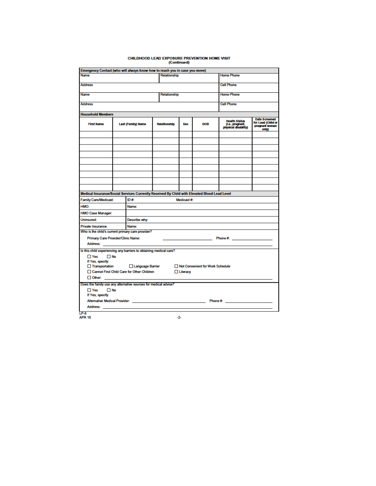# CHILDHOOD LEAD EXPOSURE PREVENTION HOME VISIT<br>(Continued)

|                                                                                              | Emergency Contact (who will always know how to reach you in case you move)                                                                                                                                                                                                                                                                                                                                                                                      |                                           |              |             |  |                                                                                                                                                                                                                                |                                                                |
|----------------------------------------------------------------------------------------------|-----------------------------------------------------------------------------------------------------------------------------------------------------------------------------------------------------------------------------------------------------------------------------------------------------------------------------------------------------------------------------------------------------------------------------------------------------------------|-------------------------------------------|--------------|-------------|--|--------------------------------------------------------------------------------------------------------------------------------------------------------------------------------------------------------------------------------|----------------------------------------------------------------|
| Name                                                                                         | <b>Home Phone</b><br>Relationship                                                                                                                                                                                                                                                                                                                                                                                                                               |                                           |              |             |  |                                                                                                                                                                                                                                |                                                                |
| <b>Address</b><br><b>Cell Phone</b>                                                          |                                                                                                                                                                                                                                                                                                                                                                                                                                                                 |                                           |              |             |  |                                                                                                                                                                                                                                |                                                                |
| <b>Name</b>                                                                                  |                                                                                                                                                                                                                                                                                                                                                                                                                                                                 |                                           | Relationship |             |  | <b>Home Phone</b>                                                                                                                                                                                                              |                                                                |
| <b>Address</b>                                                                               | Cell Phone                                                                                                                                                                                                                                                                                                                                                                                                                                                      |                                           |              |             |  |                                                                                                                                                                                                                                |                                                                |
| <b>Household Members</b>                                                                     |                                                                                                                                                                                                                                                                                                                                                                                                                                                                 |                                           |              |             |  |                                                                                                                                                                                                                                |                                                                |
| <b>First Name</b><br>Last (Family) Name<br>Relationship<br><b>DOB</b><br>Sex                 |                                                                                                                                                                                                                                                                                                                                                                                                                                                                 |                                           |              |             |  | <b>Health Status</b><br>(i.e., pregnant,<br>physical disability)                                                                                                                                                               | Date Screened<br>for Lead (Child or<br>pregnant woman<br>onlyj |
|                                                                                              |                                                                                                                                                                                                                                                                                                                                                                                                                                                                 |                                           |              |             |  |                                                                                                                                                                                                                                |                                                                |
|                                                                                              |                                                                                                                                                                                                                                                                                                                                                                                                                                                                 |                                           |              |             |  |                                                                                                                                                                                                                                |                                                                |
|                                                                                              |                                                                                                                                                                                                                                                                                                                                                                                                                                                                 |                                           |              |             |  |                                                                                                                                                                                                                                |                                                                |
|                                                                                              |                                                                                                                                                                                                                                                                                                                                                                                                                                                                 |                                           |              |             |  |                                                                                                                                                                                                                                |                                                                |
|                                                                                              |                                                                                                                                                                                                                                                                                                                                                                                                                                                                 |                                           |              |             |  |                                                                                                                                                                                                                                |                                                                |
|                                                                                              |                                                                                                                                                                                                                                                                                                                                                                                                                                                                 |                                           |              |             |  |                                                                                                                                                                                                                                |                                                                |
|                                                                                              |                                                                                                                                                                                                                                                                                                                                                                                                                                                                 |                                           |              |             |  |                                                                                                                                                                                                                                |                                                                |
|                                                                                              |                                                                                                                                                                                                                                                                                                                                                                                                                                                                 |                                           |              |             |  |                                                                                                                                                                                                                                |                                                                |
|                                                                                              |                                                                                                                                                                                                                                                                                                                                                                                                                                                                 |                                           |              |             |  |                                                                                                                                                                                                                                |                                                                |
| Medical Insurance/Social Services Currently Received By Child with Elevated Blood Lead Level |                                                                                                                                                                                                                                                                                                                                                                                                                                                                 |                                           |              |             |  |                                                                                                                                                                                                                                |                                                                |
| <b>Family Care/Medicaid:</b>                                                                 |                                                                                                                                                                                                                                                                                                                                                                                                                                                                 | ID#                                       |              | Medicaid #: |  |                                                                                                                                                                                                                                |                                                                |
| HMO:                                                                                         |                                                                                                                                                                                                                                                                                                                                                                                                                                                                 | Name:                                     |              |             |  |                                                                                                                                                                                                                                |                                                                |
| <b>HMO Case Manager:</b>                                                                     |                                                                                                                                                                                                                                                                                                                                                                                                                                                                 |                                           |              |             |  |                                                                                                                                                                                                                                |                                                                |
| Uninsured:                                                                                   |                                                                                                                                                                                                                                                                                                                                                                                                                                                                 | Describe why:                             |              |             |  |                                                                                                                                                                                                                                |                                                                |
| Private Insurance:                                                                           |                                                                                                                                                                                                                                                                                                                                                                                                                                                                 | Name:                                     |              |             |  |                                                                                                                                                                                                                                |                                                                |
| Who is the child's current primary care provider?                                            |                                                                                                                                                                                                                                                                                                                                                                                                                                                                 |                                           |              |             |  |                                                                                                                                                                                                                                |                                                                |
| Primary Care Provider/Clinic Name:                                                           |                                                                                                                                                                                                                                                                                                                                                                                                                                                                 |                                           |              |             |  | Phone #: the account of the state of the state of the state of the state of the state of the state of the state of the state of the state of the state of the state of the state of the state of the state of the state of the |                                                                |
| Address:                                                                                     |                                                                                                                                                                                                                                                                                                                                                                                                                                                                 |                                           |              |             |  |                                                                                                                                                                                                                                |                                                                |
| Is this child experiencing any barriers to obtaining medical care?                           |                                                                                                                                                                                                                                                                                                                                                                                                                                                                 |                                           |              |             |  |                                                                                                                                                                                                                                |                                                                |
| If Yes, specify:<br>□ Transportation                                                         | $\Box$ Yes<br>$\Box$ No<br>Language Barrier<br>Not Convenient for Work Schedule                                                                                                                                                                                                                                                                                                                                                                                 |                                           |              |             |  |                                                                                                                                                                                                                                |                                                                |
|                                                                                              |                                                                                                                                                                                                                                                                                                                                                                                                                                                                 | Cannot Find Child Care for Other Children |              | □ Literacy  |  |                                                                                                                                                                                                                                |                                                                |
| Other: _________                                                                             |                                                                                                                                                                                                                                                                                                                                                                                                                                                                 |                                           |              |             |  |                                                                                                                                                                                                                                |                                                                |
| Does the family use any alternative sources for medical advice?                              |                                                                                                                                                                                                                                                                                                                                                                                                                                                                 |                                           |              |             |  |                                                                                                                                                                                                                                |                                                                |
| $\Box$ Yes<br>$\Box$ No<br>If Yes, specify:                                                  |                                                                                                                                                                                                                                                                                                                                                                                                                                                                 |                                           |              |             |  |                                                                                                                                                                                                                                |                                                                |
|                                                                                              |                                                                                                                                                                                                                                                                                                                                                                                                                                                                 |                                           |              |             |  |                                                                                                                                                                                                                                |                                                                |
| Address: ________                                                                            | Alternative Medical Provider: Web and the control of the control of the control of the control of the control of the control of the control of the control of the control of the control of the control of the control of the<br>Phone #: the state of the state of the state of the state of the state of the state of the state of the state of the state of the state of the state of the state of the state of the state of the state of the state of the s |                                           |              |             |  |                                                                                                                                                                                                                                |                                                                |
| LP-8                                                                                         |                                                                                                                                                                                                                                                                                                                                                                                                                                                                 |                                           |              |             |  |                                                                                                                                                                                                                                |                                                                |
| <b>APR 16</b>                                                                                |                                                                                                                                                                                                                                                                                                                                                                                                                                                                 |                                           |              | -2-         |  |                                                                                                                                                                                                                                |                                                                |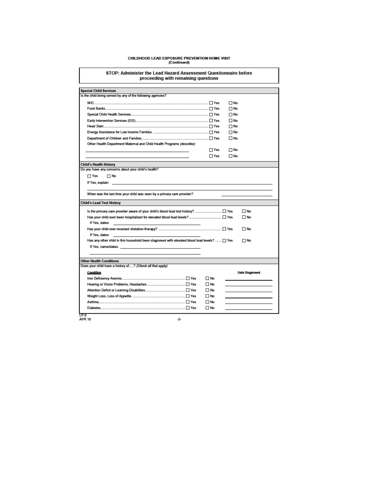#### CHILDHOOD LEAD EXPOSURE PREVENTION HOME VISIT (Continued)

STOP: Administer the Lead Hazard Assessment Questionnaire before proceeding with remaining questions **Special Child Services** Is the child being served by any of the following agencies? ...... □ Yes  $\Box$  No WIC. Food Banks.........  $\Box$  No  $\Box$  No Early Intervention Services (EIS)..............  $\Box$  No Head Start.......  $\Box$  No  $\Box$  No  $\Box$  No Other Health Department Maternal and Child Health Programs (describe):  $\Box$  Yes  $\Box$  No  $\Box$  Yes  $\Box$  No **Child's Health History** Do you have any concerns about your child's health?  $\Box$  Yes  $\Box$  No If Yes, explain: When was the last time your child was seen by a primary care provider? **Child's Lead Test History**  $\Box$  No Has your child ever been hospitalized for elevated blood lead levels? ..............................  $\Box$  Yes  $\Box$  No If Yes, dates:  $\Box$  No If Yes, dates: Has any other child in this household been diagnosed with elevated blood lead levels? ....... [ Yes  $\Box$  No If Yes, name/dates: **Other Health Conditions** Does your child have a history of.....? (Check all that apply) Condition Date Diagnosed Iron Deficiency Anemia.......  $\Box$  No  $\begin{tabular}{ll} \textbf{Weight Loss, Loss of Apple} \end{tabular} \begin{tabular}{ll} \textbf{2} & \textbf{1} & \textbf{1} & \textbf{2} & \textbf{2} & \textbf{3} & \textbf{3} & \textbf{4} & \textbf{5} & \textbf{6} & \textbf{7} & \textbf{8} & \textbf{9} \\ \textbf{1} & \textbf{2} & \textbf{3} & \textbf{1} & \textbf{1} & \textbf{1} & \textbf{1} & \textbf{1} & \textbf{1} & \textbf{1} & \textbf{1} & \textbf{1} \\ \textbf{2} & \textbf{3$  $N<sub>o</sub>$ Diabetes.......  $\Box$  No TP.S

 $-3-$ 

**APR 16**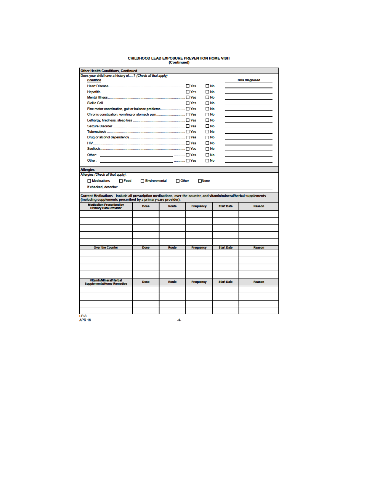# CHILDHOOD LEAD EXPOSURE PREVENTION HOME VISIT<br>(Continued)

| <b>Other Health Conditions, Continued</b>                                                                                                                                                                                                                                                                                                              |                                                           |       |           |                   |                |  |
|--------------------------------------------------------------------------------------------------------------------------------------------------------------------------------------------------------------------------------------------------------------------------------------------------------------------------------------------------------|-----------------------------------------------------------|-------|-----------|-------------------|----------------|--|
|                                                                                                                                                                                                                                                                                                                                                        | Does your child have a history of? (Check all that apply) |       |           |                   |                |  |
| <b>Condition</b>                                                                                                                                                                                                                                                                                                                                       |                                                           |       |           |                   | Date Diagnosed |  |
|                                                                                                                                                                                                                                                                                                                                                        |                                                           |       |           | $\Box$ No         |                |  |
|                                                                                                                                                                                                                                                                                                                                                        |                                                           |       |           | Π No              |                |  |
|                                                                                                                                                                                                                                                                                                                                                        |                                                           |       |           | $\Box$ No         |                |  |
|                                                                                                                                                                                                                                                                                                                                                        |                                                           |       |           | $\sqcap$ No       |                |  |
|                                                                                                                                                                                                                                                                                                                                                        |                                                           |       |           | <b>⊡</b> No       |                |  |
|                                                                                                                                                                                                                                                                                                                                                        |                                                           |       |           | ΠNo               |                |  |
|                                                                                                                                                                                                                                                                                                                                                        |                                                           |       |           | $\Box$ No         |                |  |
|                                                                                                                                                                                                                                                                                                                                                        |                                                           |       |           | $\Box$ No         |                |  |
|                                                                                                                                                                                                                                                                                                                                                        |                                                           |       |           | $\Box$ No         |                |  |
|                                                                                                                                                                                                                                                                                                                                                        |                                                           |       |           | $\Box$ No         |                |  |
|                                                                                                                                                                                                                                                                                                                                                        |                                                           |       |           | $\Box$ No         |                |  |
|                                                                                                                                                                                                                                                                                                                                                        |                                                           |       |           | $\Box$ No         |                |  |
|                                                                                                                                                                                                                                                                                                                                                        |                                                           |       |           | $\Box$ No         |                |  |
|                                                                                                                                                                                                                                                                                                                                                        |                                                           |       |           | $\Box$ No         |                |  |
|                                                                                                                                                                                                                                                                                                                                                        |                                                           |       |           |                   |                |  |
| <b>Allergies</b><br>Allergies (Check all that apply):                                                                                                                                                                                                                                                                                                  |                                                           |       |           |                   |                |  |
| If checked, describe: the contract of the contract of the contract of the contract of the contract of the contract of the contract of the contract of the contract of the contract of the contract of the contract of the cont<br>Current Medications - Include all prescription medications, over-the-counter, and vitamin/mineral/herbal supplements |                                                           |       |           |                   |                |  |
|                                                                                                                                                                                                                                                                                                                                                        |                                                           |       |           |                   |                |  |
| (including supplements prescribed by a primary care provider).<br><b>Medication Prescribed by</b><br><b>Primary Care Provider</b>                                                                                                                                                                                                                      | Dose                                                      | Route | Frequency | <b>Start Date</b> | Reason         |  |
|                                                                                                                                                                                                                                                                                                                                                        |                                                           |       |           |                   |                |  |
|                                                                                                                                                                                                                                                                                                                                                        |                                                           |       |           |                   |                |  |
|                                                                                                                                                                                                                                                                                                                                                        |                                                           |       |           |                   |                |  |
|                                                                                                                                                                                                                                                                                                                                                        |                                                           |       |           |                   |                |  |
|                                                                                                                                                                                                                                                                                                                                                        |                                                           |       |           |                   |                |  |
| <b>Over the Counter</b>                                                                                                                                                                                                                                                                                                                                | Dose                                                      | Route | Frequency | <b>Start Date</b> | <b>Reason</b>  |  |
|                                                                                                                                                                                                                                                                                                                                                        |                                                           |       |           |                   |                |  |
|                                                                                                                                                                                                                                                                                                                                                        |                                                           |       |           |                   |                |  |
|                                                                                                                                                                                                                                                                                                                                                        |                                                           |       |           |                   |                |  |
|                                                                                                                                                                                                                                                                                                                                                        |                                                           |       |           |                   |                |  |
| Vitamin/Mineral/Herbal                                                                                                                                                                                                                                                                                                                                 |                                                           |       |           |                   |                |  |
| <b>Supplements/Home Remedies</b>                                                                                                                                                                                                                                                                                                                       | Dose                                                      | Route | Frequency | <b>Start Date</b> | Reason         |  |
|                                                                                                                                                                                                                                                                                                                                                        |                                                           |       |           |                   |                |  |
|                                                                                                                                                                                                                                                                                                                                                        |                                                           |       |           |                   |                |  |
|                                                                                                                                                                                                                                                                                                                                                        |                                                           |       |           |                   |                |  |

 $\overline{4}$ 

LP-8<br>APR 16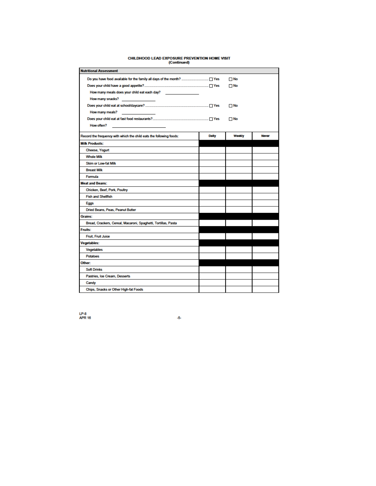#### **Nutritional Assessment**  $\Box$  No  $\Box$  No How many meals does your child eat each day? How many snacks? Does your child eat at school/daycare? .................  $\Box$  No How many meals? Does your child eat at fast food restaurants?..........  $\Box$  No How often?  $\overline{\phantom{0}}$ Record the frequency with which the child eats the following foods: **Dally** Weekly Never **Milk Products: Cheese, Yogurt Whole Milk** Skim or Low-fat Milk **Breast Milk** Formula **Meat and Beans:** Chicken, Beef, Pork, Poultry **Fish and Shellfish** Eggs Dried Beans, Peas, Peanut Butter **Grains:** Bread, Crackers, Cereal, Macaroni, Spaghetti, Tortillas, Pasta **Fruits:** Fruit, Fruit Juice Vegetables: Vegetables Potatoes Other: **Soft Drinks** Pastries, Ice Cream, Desserts Candy Chips, Snacks or Other High-fat Foods

### CHILDHOOD LEAD EXPOSURE PREVENTION HOME VISIT

(Continued)

**LP-8**<br>APR 16

 $\mathbf{5}$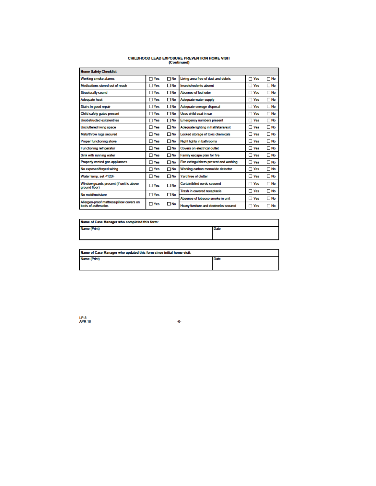| <b>Home Safety Checklist</b>                                   |              |             |                                         |              |           |
|----------------------------------------------------------------|--------------|-------------|-----------------------------------------|--------------|-----------|
| <b>Working smoke alarms</b>                                    | $\sqcap$ Yes | $\Box$ No   | Living area free of dust and debris     | $\Box$ Yes   | $\Box$ No |
| Medications stored out of reach                                | $\Box$ Yes   | $\Box$ No   | Insects/rodents.absent                  | $\Box$ Yes   | <b>No</b> |
| Structurally sound                                             | $\Box$ Yes   | $\Box$ No   | Absence of foul odor                    | $\Box$ Yes   | $\Box$ No |
| <b>Adequate heat</b>                                           | $\Box$ Yes   | $\Box$ No   | Adequate water supply                   | $\Box$ Yes   | $\Box$ No |
| Stairs in good repair                                          | $\Box$ Yes   | $\Box$ No   | Adequate sewage disposal                | $\Box$ Yes   | $\Box$ No |
| Child safety gates present                                     | $\Box$ Yes   | $\Box$ No   | Uses child seat in car                  | $\Gamma$ Yes | $\Box$ No |
| <b>Unobstructed exits/entries</b>                              | $\sqcap$ Yes | $\Box$ No   | <b>Emergency numbers present</b>        | $\Box$ Yes   | $\Box$ No |
| <b>Uncluttered living space</b>                                | $\Box$ Yes   | <b>□ No</b> | Adequate lighting in hall/stairs/exit   | $\Box$ Yes   | $\Box$ No |
| Mats/throw rugs secured                                        | $\Box$ Yes   | $\Box$ No   | Locked storage of toxic chemicals       | $\Box$ Yes   | $\Box$ No |
| Proper functioning stove                                       | $\Box$ Yes   | <b>□ No</b> | Night lights in bathrooms               | $\Box$ Yes   | $\Box$ No |
| <b>Functioning refrigerator</b>                                | $\Box$ Yes   | $\Box$ No   | <b>Covers on electrical outlet</b>      | $\Box$ Yes   | $\Box$ No |
| Sink with running water                                        | $\Box$ Yes   | $\Box$ No   | Family escape plan for fire             | $\Box$ Yes   | $\Box$ No |
| Properly vented gas appliances                                 | $\Box$ Yes   | $\Box$ No   | Fire extinguishers present and working  | $\Box$ Yes   | $\Box$ No |
| No exposed/frayed wiring                                       | $\Box$ Yes   | $\Box$ No   | Working carbon monoxide detector        | $\Box$ Yes   | $\Box$ No |
| Water temp. set <120F                                          | $\Box$ Yes   | <b>⊟ No</b> | Yard free of clutter                    | $\Box$ Yes   | $\Box$ No |
| Window guards present (if unit is above<br>ground floor)       | $\Box$ Yes   | $\Box$ No   | Curtain/blind cords secured             | $\Box$ Yes   | $\Box$ No |
| No mold/moisture                                               | $\Box$ Yes   | <b>□ No</b> | Trash in covered receptacle             | $\Box$ Yes   | $\Box$ No |
|                                                                |              |             | Absence of tobacco smoke in unit        | $\Box$ Yes   | $\Box$ No |
| Allergen-proof mattress/pillow covers on<br>beds of asthmatics | $\Box$ Yes   | <b>⊟ No</b> | Heavy furniture and electronics secured | $\Box$ Yes   | $\Box$ No |

# CHILDHOOD LEAD EXPOSURE PREVENTION HOME VISIT<br>(Continued)

| Name of Case Manager who completed this form: |             |  |  |  |
|-----------------------------------------------|-------------|--|--|--|
| Name (Print)                                  | <b>Date</b> |  |  |  |

| Name of Case Manager who updated this form since initial home visit: |             |  |  |  |
|----------------------------------------------------------------------|-------------|--|--|--|
| Name (Print)                                                         | <b>Date</b> |  |  |  |

 $-6-$ 

**LP-8**<br>APR 16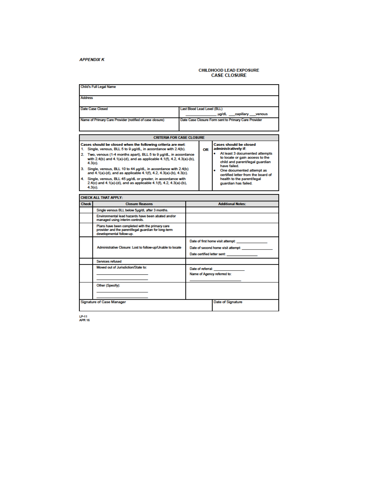### **APPENDIX K**

# **CHILDHOOD LEAD EXPOSURE<br>CASE CLOSURE**

|                                                            | Child's Full Legal Name                                                                                                                                                                                                                                                                                                                                                                                                                                                                                                                                                                     |                             |                   |                                                                                                                                                                                                                                                                                                          |
|------------------------------------------------------------|---------------------------------------------------------------------------------------------------------------------------------------------------------------------------------------------------------------------------------------------------------------------------------------------------------------------------------------------------------------------------------------------------------------------------------------------------------------------------------------------------------------------------------------------------------------------------------------------|-----------------------------|-------------------|----------------------------------------------------------------------------------------------------------------------------------------------------------------------------------------------------------------------------------------------------------------------------------------------------------|
| <b>Address</b>                                             |                                                                                                                                                                                                                                                                                                                                                                                                                                                                                                                                                                                             |                             |                   |                                                                                                                                                                                                                                                                                                          |
|                                                            | <b>Date Case Closed</b>                                                                                                                                                                                                                                                                                                                                                                                                                                                                                                                                                                     | Last Blood Lead Level (BLL) |                   |                                                                                                                                                                                                                                                                                                          |
|                                                            |                                                                                                                                                                                                                                                                                                                                                                                                                                                                                                                                                                                             |                             |                   | ug/dL ___ capillary ___ venous                                                                                                                                                                                                                                                                           |
|                                                            | Name of Primary Care Provider (notified of case closure)                                                                                                                                                                                                                                                                                                                                                                                                                                                                                                                                    |                             |                   | Date Case Closure Form sent to Primary Care Provider                                                                                                                                                                                                                                                     |
|                                                            | <b>CRITERIA FOR CASE CLOSURE</b>                                                                                                                                                                                                                                                                                                                                                                                                                                                                                                                                                            |                             |                   |                                                                                                                                                                                                                                                                                                          |
|                                                            | Cases should be closed when the following criteria are met:<br>1. Single, venous, BLL 5 to 9 µg/dL, in accordance with 2.4(b).<br>2. Two, venous (1-4 months apart), BLL 5 to 9 ug/dL, in accordance<br>with 2.4(b) and 4.1(a)-(d), and as applicable 4.1(f), 4.2, 4.3(a)-(b),<br>$4.3(c)$ .<br>3. Single, venous, BLL 10 to 44 ug/dL, in accordance with 2.4(b)<br>and 4.1(a)-(d), and as applicable 4.1(f), 4.2, 4.3(a)-(b), 4.3(c).<br>4. Single, venous, BLL 45 µg/dL or greater, in accordance with<br>2.4(c) and 4.1(a)-(d), and as applicable 4.1(f), 4.2, 4.3(a)-(b),<br>$4.3(c)$ . |                             | OR                | <b>Cases should be closed</b><br>administratively if:<br>At least 3 documented attempts<br>to locate or gain access to the<br>child and parent/legal guardian<br>have failed.<br>• One documented attempt as<br>certified letter from the board of<br>health to the parent/legal<br>quardian has failed. |
|                                                            | <b>CHECK ALL THAT APPLY:</b>                                                                                                                                                                                                                                                                                                                                                                                                                                                                                                                                                                |                             |                   |                                                                                                                                                                                                                                                                                                          |
| <b>Check</b>                                               | <b>Closure Reasons</b>                                                                                                                                                                                                                                                                                                                                                                                                                                                                                                                                                                      |                             |                   | <b>Additional Notes:</b>                                                                                                                                                                                                                                                                                 |
|                                                            | Single venous BLL below 5ug/dL after 3 months.                                                                                                                                                                                                                                                                                                                                                                                                                                                                                                                                              |                             |                   |                                                                                                                                                                                                                                                                                                          |
|                                                            | Environmental lead hazards have been abated and/or<br>managed using interim controls.                                                                                                                                                                                                                                                                                                                                                                                                                                                                                                       |                             |                   |                                                                                                                                                                                                                                                                                                          |
|                                                            | Plans have been completed with the primary care<br>provider and the parent/legal guardian for long-term<br>developmental follow-up.                                                                                                                                                                                                                                                                                                                                                                                                                                                         |                             |                   |                                                                                                                                                                                                                                                                                                          |
| Administrative Closure: Lost to follow-up/Unable to locate |                                                                                                                                                                                                                                                                                                                                                                                                                                                                                                                                                                                             |                             |                   | Date certified letter sent: ___________________                                                                                                                                                                                                                                                          |
|                                                            | Services refused                                                                                                                                                                                                                                                                                                                                                                                                                                                                                                                                                                            |                             |                   |                                                                                                                                                                                                                                                                                                          |
| Moved out of Jurisdiction/State to:                        |                                                                                                                                                                                                                                                                                                                                                                                                                                                                                                                                                                                             |                             | Date of referral: | Name of Agency referred to:                                                                                                                                                                                                                                                                              |
|                                                            | Other (Specify):                                                                                                                                                                                                                                                                                                                                                                                                                                                                                                                                                                            |                             |                   |                                                                                                                                                                                                                                                                                                          |
|                                                            | <b>Signature of Case Manager</b>                                                                                                                                                                                                                                                                                                                                                                                                                                                                                                                                                            |                             |                   | Date of Signature                                                                                                                                                                                                                                                                                        |

**LP-11**<br>APR 16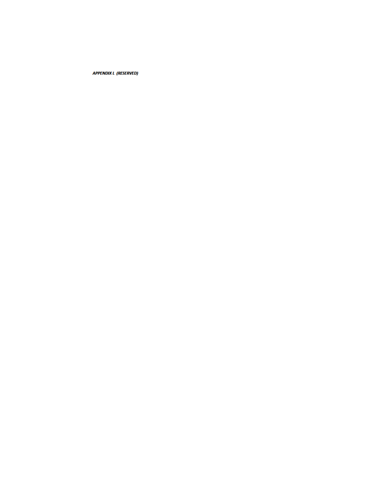**APPENDIX L (RESERVED)**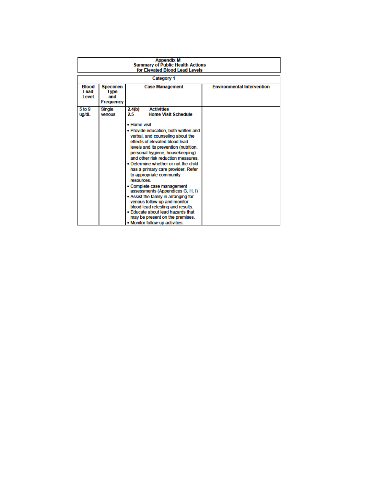|                               | <b>Appendix M</b><br><b>Summary of Public Health Actions</b><br>for Elevated Blood Lead Levels |                                                                                                                                                                                                                                                                                                                                                                                                                                                                                                                                                                                                                                                               |                                   |  |  |
|-------------------------------|------------------------------------------------------------------------------------------------|---------------------------------------------------------------------------------------------------------------------------------------------------------------------------------------------------------------------------------------------------------------------------------------------------------------------------------------------------------------------------------------------------------------------------------------------------------------------------------------------------------------------------------------------------------------------------------------------------------------------------------------------------------------|-----------------------------------|--|--|
|                               |                                                                                                | Category 1                                                                                                                                                                                                                                                                                                                                                                                                                                                                                                                                                                                                                                                    |                                   |  |  |
| <b>Blood</b><br>Lead<br>Level | <b>Specimen</b><br><b>Type</b><br>and<br><b>Frequency</b>                                      | <b>Case Management</b>                                                                                                                                                                                                                                                                                                                                                                                                                                                                                                                                                                                                                                        | <b>Environmental Intervention</b> |  |  |
| 5 to 9<br>ug/dL               | <b>Single</b><br>venous                                                                        | <b>Activities</b><br>2.4(b)<br><b>Home Visit Schedule</b><br>2.5                                                                                                                                                                                                                                                                                                                                                                                                                                                                                                                                                                                              |                                   |  |  |
|                               |                                                                                                | • Home visit<br>• Provide education, both written and<br>verbal, and counseling about the<br>effects of elevated blood lead<br>levels and its prevention (nutrition,<br>personal hygiene, housekeeping)<br>and other risk reduction measures<br>. Determine whether or not the child<br>has a primary care provider. Refer<br>to appropriate community<br>resources<br>• Complete case management<br>assessments (Appendices G, H, I)<br>• Assist the family in arranging for<br>venous follow-up and monitor<br>blood lead retesting and results.<br>. Educate about lead hazards that<br>may be present on the premises.<br>. Monitor follow-up activities. |                                   |  |  |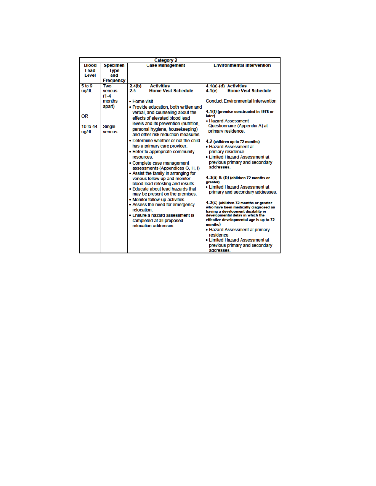|                                | <b>Category 2</b>                                         |                                                                                                                                                                                                                                                                                                                                                                                                                                                                                                                                                                                                                                                                                                                                                   |                                                                                                                                                                                                                                                                                                                                                                                                                                                                                                                                                                                                                                                                                                                                                                                   |  |  |
|--------------------------------|-----------------------------------------------------------|---------------------------------------------------------------------------------------------------------------------------------------------------------------------------------------------------------------------------------------------------------------------------------------------------------------------------------------------------------------------------------------------------------------------------------------------------------------------------------------------------------------------------------------------------------------------------------------------------------------------------------------------------------------------------------------------------------------------------------------------------|-----------------------------------------------------------------------------------------------------------------------------------------------------------------------------------------------------------------------------------------------------------------------------------------------------------------------------------------------------------------------------------------------------------------------------------------------------------------------------------------------------------------------------------------------------------------------------------------------------------------------------------------------------------------------------------------------------------------------------------------------------------------------------------|--|--|
| <b>Blood</b><br>Lead<br>Level  | <b>Specimen</b><br><b>Type</b><br>and<br><b>Frequency</b> | <b>Case Management</b>                                                                                                                                                                                                                                                                                                                                                                                                                                                                                                                                                                                                                                                                                                                            | <b>Environmental Intervention</b>                                                                                                                                                                                                                                                                                                                                                                                                                                                                                                                                                                                                                                                                                                                                                 |  |  |
| 5 to 9<br>ug/dL                | Two<br>venous<br>$(1 - 4)$<br>months<br>apart)            | <b>Activities</b><br>2.4(b)<br><b>Home Visit Schedule</b><br>2.5<br>• Home visit<br>. Provide education, both written and                                                                                                                                                                                                                                                                                                                                                                                                                                                                                                                                                                                                                         | 4.1(a)-(d) Activities<br><b>Home Visit Schedule</b><br>4.1(e)<br><b>Conduct Environmental Intervention</b>                                                                                                                                                                                                                                                                                                                                                                                                                                                                                                                                                                                                                                                                        |  |  |
| <b>OR</b><br>10 to 44<br>ug/dL | <b>Single</b><br>venous                                   | verbal, and counseling about the<br>effects of elevated blood lead<br>levels and its prevention (nutrition,<br>personal hygiene, housekeeping)<br>and other risk reduction measures.<br>• Determine whether or not the child<br>has a primary care provider.<br>• Refer to appropriate community<br>resources.<br>• Complete case management<br>assessments (Appendices G. H. I)<br>• Assist the family in arranging for<br>venous follow-up and monitor<br>blood lead retesting and results.<br>. Educate about lead hazards that<br>may be present on the premises.<br>. Monitor follow-up activities.<br>• Assess the need for emergency<br>relocation<br>• Ensure a hazard assessment is<br>completed at all proposed<br>relocation addresses | 4.1(f) (premise constructed in 1978 or<br>later)<br>· Hazard Assessment<br>Questionnaire (Appendix A) at<br>primary residence.<br>4.2 (children up to 72 months)<br>• Hazard Assessment at<br>primary residence.<br>. Limited Hazard Assessment at<br>previous primary and secondary<br>addresses<br>$4.3(a)$ & (b) (children 72 months or<br>greater)<br>. I imited Hazard Assessment at<br>primary and secondary addresses.<br>$4.3(c)$ (children 72 months or greater<br>who have been medically diagnosed as<br>having a development disability or<br>developmental delay in which the<br>effective developmental age is up to 72<br>months)<br>• Hazard Assessment at primary<br>residence<br>. I imited Hazard Assessment at<br>previous primary and secondary<br>addresses |  |  |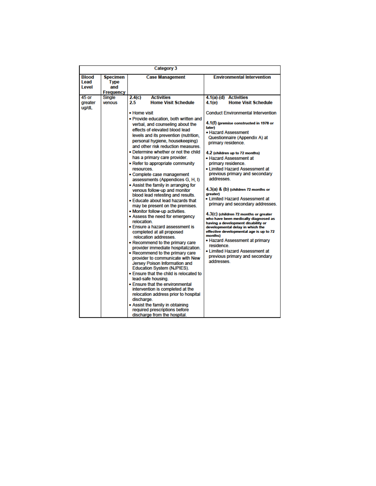| <b>Category 3</b>                                                                                                                                                                                                                                                                                                                                                                                                                                                                                                                                                                                                                                                                                                                                                                                                                                                                                                                                                                                                                                                                                                                                                                                                                                                                                                                                                                                                                                                                                                                                                                                                                                                                                                                                                                                                                                                                                                                                                                                                                                                                                                                                                                                                                                                                                                                                                   |  |  |  |  |
|---------------------------------------------------------------------------------------------------------------------------------------------------------------------------------------------------------------------------------------------------------------------------------------------------------------------------------------------------------------------------------------------------------------------------------------------------------------------------------------------------------------------------------------------------------------------------------------------------------------------------------------------------------------------------------------------------------------------------------------------------------------------------------------------------------------------------------------------------------------------------------------------------------------------------------------------------------------------------------------------------------------------------------------------------------------------------------------------------------------------------------------------------------------------------------------------------------------------------------------------------------------------------------------------------------------------------------------------------------------------------------------------------------------------------------------------------------------------------------------------------------------------------------------------------------------------------------------------------------------------------------------------------------------------------------------------------------------------------------------------------------------------------------------------------------------------------------------------------------------------------------------------------------------------------------------------------------------------------------------------------------------------------------------------------------------------------------------------------------------------------------------------------------------------------------------------------------------------------------------------------------------------------------------------------------------------------------------------------------------------|--|--|--|--|
| <b>Blood</b><br><b>Environmental Intervention</b><br><b>Specimen</b><br><b>Case Management</b><br>I ead<br><b>Type</b><br>and<br><b>Level</b><br><b>Frequency</b>                                                                                                                                                                                                                                                                                                                                                                                                                                                                                                                                                                                                                                                                                                                                                                                                                                                                                                                                                                                                                                                                                                                                                                                                                                                                                                                                                                                                                                                                                                                                                                                                                                                                                                                                                                                                                                                                                                                                                                                                                                                                                                                                                                                                   |  |  |  |  |
| $45$ or<br><b>Single</b><br>2.4(c)<br><b>Activities</b><br>4.1(a)-(d) Activities<br><b>Home Visit Schedule</b><br><b>Home Visit Schedule</b><br>areater<br>venous<br>2.5<br>4.1(e)<br>ua/dL<br>• Home visit<br><b>Conduct Environmental Intervention</b><br>. Provide education, both written and<br>4.1(f) (premise constructed in 1978 or<br>verbal, and counseling about the<br>later)<br>effects of elevated blood lead<br>• Hazard Assessment<br>levels and its prevention (nutrition,<br>Questionnaire (Appendix A) at<br>personal hygiene, housekeeping)<br>primary residence.<br>and other risk reduction measures.<br>• Determine whether or not the child<br>4.2 (children up to 72 months)<br>has a primary care provider.<br>. Hazard Assessment at<br>• Refer to appropriate community<br>primary residence.<br>. Limited Hazard Assessment at<br>resources.<br>previous primary and secondary<br>· Complete case management<br>addresses.<br>assessments (Appendices G, H, I)<br>. Assist the family in arranging for<br>4.3(a) & (b) (children 72 months or<br>venous follow-up and monitor<br>greater)<br>blood lead retesting and results.<br>. Limited Hazard Assessment at<br>. Educate about lead hazards that<br>primary and secondary addresses.<br>may be present on the premises.<br>. Monitor follow-up activities.<br>$4.3(c)$ (children 72 months or greater<br>• Assess the need for emergency<br>who have been medically diagnosed as<br>relocation<br>having a development disability or<br>• Ensure a hazard assessment is<br>developmental delay in which the<br>effective developmental age is up to 72<br>completed at all proposed<br>months)<br>relocation addresses<br>• Hazard Assessment at primary<br>• Recommend to the primary care<br><i>residence.</i><br>provider immediate hospitalization.<br>• Limited Hazard Assessment at<br>• Recommend to the primary care<br>previous primary and secondary<br>provider to communicate with New<br>addresses<br>Jersey Poison Information and<br>Education System (NJPIES).<br>. Ensure that the child is relocated to<br>lead-safe housing.<br>• Ensure that the environmental<br>intervention is completed at the<br>relocation address prior to hospital<br>discharge.<br>• Assist the family in obtaining<br>required prescriptions before<br>discharge from the hospital. |  |  |  |  |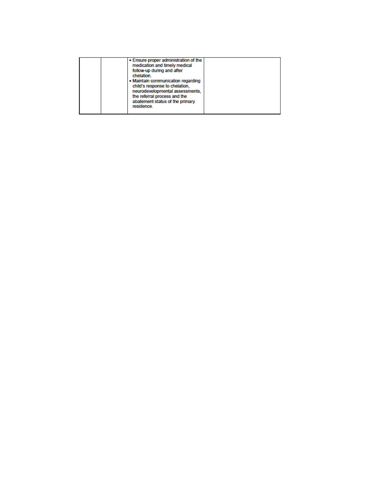| . Ensure proper administration of the<br>medication and timely medical<br>follow-up during and after<br>chelation.<br>• Maintain communication regarding<br>child's response to chelation.<br>neurodevelopmental assessments.<br>the referral process and the |  |
|---------------------------------------------------------------------------------------------------------------------------------------------------------------------------------------------------------------------------------------------------------------|--|
| abatement status of the primary<br>residence                                                                                                                                                                                                                  |  |